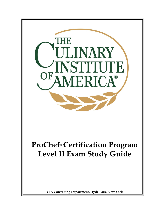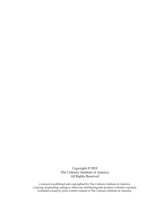Copyright © 2019 The Culinary Institute of America All Rights Reserved

s manual is published and copyrighted by The Culinary Institute of America. Copying, duplicating, selling or otherwise distributing this product is hereby expressly forbidden except by prior written consent of The Culinary Institute of America.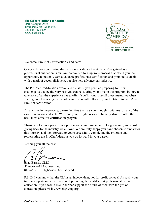**The Culinary Institute of America** 1946 Campus Drive Hyde Park, NY 12538-1499 Tel: 845-452-9600 www.ciachef.edu



THE WORLD'S PREMIER **CULINARY COLLEGE** 

Welcome, ProChef Certification Candidate!

Congratulations on making the decision to validate the skills you've gained as a professional culinarian. You have committed to a rigorous process that offers you the opportunity to not only earn a valuable professional certification and promote yourself with a mark of accomplishment, but also help advance our industry.

The ProChef Certification exam, and the skills you practice preparing for it, will challenge you to be the very best you can be. During your time in the program, be sure to take note of all the experience has to offer. You'll want to recall these memories when sharing your knowledge with colleagues who will follow in your footsteps to gain *their* ProChef certification.

At any time in the process, please feel free to share your thoughts with me, or any of the exam evaluators and staff. We value your insight as we continually strive to offer the best, most effective certification program.

Thank you for your pride in our profession, commitment to lifelong learning, and spirit of giving back to the industry we all love. We are truly happy you have chosen to embark on this journey, and look forward to your successfully completing the program and representing the ProChef ideals as you go forward in your career.

Wishing you all the best,

 $\overline{\mathcal{M}}$ 

Brad Barnes, CMC Director—CIA Consulting 845-451-1613| b\_barnes @culinary.edu

P.S. Did you know that the CIA is an independent, not-for-profit college? As such, your tuition supports our core mission of providing the world's best professional culinary education. If you would like to further support the future of food with the gift of education, please visit www.ciagiving.org.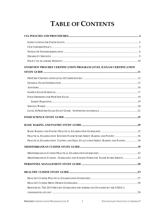# **TABLE OF CONTENTS**

| <b>OVERVIEW PROCHEF CERTIFICATION PROGRAM LEVEL II EXAM CERTIFICATION</b>     |  |
|-------------------------------------------------------------------------------|--|
|                                                                               |  |
|                                                                               |  |
|                                                                               |  |
|                                                                               |  |
|                                                                               |  |
|                                                                               |  |
|                                                                               |  |
|                                                                               |  |
|                                                                               |  |
|                                                                               |  |
|                                                                               |  |
|                                                                               |  |
| PRACTICAL EXAMINATION KITCHEN FLOOR SCORE SHEET: BAKING AND PASTRY 36         |  |
| PRACTICAL EXAMINATION TASTING AND SKILL EVALUATION SHEET: BAKING AND PASTRY38 |  |
|                                                                               |  |
|                                                                               |  |
| MEDITERRANEAN CUISINE: GUIDELINES AND JUDGING FORM FOR FLOOR SCORE SHEETS43   |  |
|                                                                               |  |
|                                                                               |  |
|                                                                               |  |
|                                                                               |  |
| RESOURCES: THE 2015 DIETARY GUIDELINES FOR AMERICANS OUTLINED BY THE USDA'S   |  |
|                                                                               |  |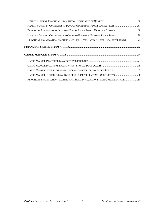| PRACTICAL EXAMINATION KITCHEN FLOOR SCORE SHEET: HEALTHY CUISINE  69        |
|-----------------------------------------------------------------------------|
| HEALTHY CUISINE: GUIDELINES AND JUDGING FORM FOR TASTING SCORE SHEETS 70    |
| PRACTICAL EXAMINATION TASTING AND SKILL EVALUATION SHEET: HEALTHY CUISINE 2 |
|                                                                             |
|                                                                             |
|                                                                             |
|                                                                             |
|                                                                             |
|                                                                             |
|                                                                             |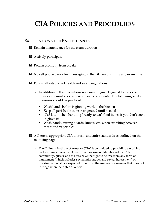# **CIA POLICIES AND PROCEDURES**

### **EXPECTATIONS FOR PARTICIPANTS**

- $\boxtimes$  Remain in attendance for the exam duration
- $\boxtimes$  Actively participate
- $\boxtimes$  Return promptly from breaks
- $\boxtimes$  No cell phone use or text messaging in the kitchen or during any exam time
- $\boxtimes$  Follow all established health and safety regulations
	- o In addition to the precautions necessary to guard against food-borne illness, care must also be taken to avoid accidents. The following safety measures should be practiced.
		- Wash hands before beginning work in the kitchen
		- Keep all perishable items refrigerated until needed
		- NYS law when handling "ready-to-eat" food items, if you don't cook it, glove it!
		- Wash hands, cutting boards, knives, etc. when switching between meats and vegetables
- $\boxtimes$  Adhere to appropriate CIA uniform and attire standards as outlined on the following page.
	- o The Culinary Institute of America (CIA) is committed to providing a working and learning environment free from harassment. Members of the CIA community, guests, and visitors have the right to be free from any form of harassment (which includes sexual misconduct and sexual harassment) or discrimination; all are expected to conduct themselves in a manner that does not infringe upon the rights of others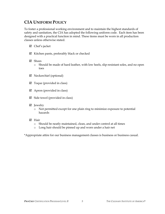# **CIA UNIFORM POLICY**

To foster a professional working environment and to maintain the highest standards of safety and sanitation, the CIA has adopted the following uniform code. Each item has been designed with a practical function in mind. These items must be worn in all production classes unless otherwise stated.

- $\boxtimes$  Chef's jacket
- $\boxtimes$  Kitchen pants, preferably black or checked
- Shoes
	- o Should be made of hard leather, with low heels, slip-resistant soles, and no open toes
- Neckerchief (optional)
- $\boxtimes$  Toque (provided in class)
- $\boxtimes$  Apron (provided in class)
- $\boxtimes$  Side towel (provided in class)
- ⊠ Jewelry
	- o Not permitted except for one plain ring to minimize exposure to potential hazards
- **M** Hair
	- o Should be neatly maintained, clean, and under control at all times
	- o Long hair should be pinned up and worn under a hair net

\*Appropriate attire for our business management classes is business or business casual.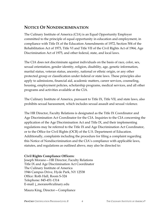### **NOTICE OF NONDISCRIMINATION**

The Culinary Institute of America (CIA) is an Equal Opportunity Employer committed to the principle of equal opportunity in education and employment, in compliance with Title IX of the Education Amendments of 1972, Section 504 of the Rehabilitation Act of 1973, Title VI and Title VII of the Civil Rights Act of 1964, Age Discrimination Act of 1975, and other federal, state, and local laws.

The CIA does not discriminate against individuals on the basis of race, color, sex, sexual orientation, gender identity, religion, disability, age, genetic information, marital status, veteran status, ancestry, national or ethnic origin, or any other protected group or classification under federal or state laws. These principles also apply to admissions, financial aid, academic matters, career services, counseling, housing, employment policies, scholarship programs, medical services, and all other programs and activities available at the CIA.

The Culinary Institute of America, pursuant to Title IX, Title VII, and state laws, also prohibits sexual harassment, which includes sexual assault and sexual violence.

The HR Director, Faculty Relations is designated as the Title IX Coordinator and Age Discrimination Act Coordinator for the CIA. Inquiries to the CIA concerning the application of the Age Discrimination Act and Title IX, and their implementing regulations may be referred to the Title IX and Age Discrimination Act Coordinator, or to the Office for Civil Rights (OCR) of the U.S. Department of Education. Additionally, complaints including the procedure for filing a complaint regarding this Notice of Nondiscrimination and the CIA's compliance with applicable laws, statutes, and regulations as outlined above, may also be directed to:

### **Civil Rights Compliance Officers:**

Joseph Morano—HR Director, Faculty Relations Title IX and Age Discrimination Act Coordinator The Culinary Institute of America 1946 Campus Drive, Hyde Park, NY 12538 Office: Roth Hall, Room S-324 Telephone: 845-451-1314 E-mail: j\_morano@culinary.edu

Maura King, Director—Compliance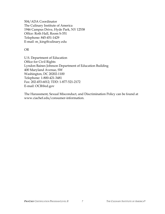504/ADA Coordinator The Culinary Institute of America 1946 Campus Drive, Hyde Park, NY 12538 Office: Roth Hall, Room S-351 Telephone: 845-451-1429 E-mail: m\_king@culinary.edu

#### OR

U.S. Department of Education Office for Civil Rights Lyndon Baines Johnson Department of Education Building 400 Maryland Avenue, SW Washington, DC 20202-1100 Telephone: 1-800-421-3481 Fax: 202-453-6012; TDD: 1-877-521-2172 E-mail: OCR@ed.gov

The Harassment, Sexual Misconduct, and Discrimination Policy can be found at www.ciachef.edu/consumer-information.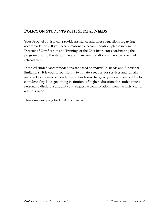## **POLICY ON STUDENTS WITH SPECIAL NEEDS**

Your ProChef advisor can provide assistance and offer suggestions regarding accommodations. If you need a reasonable accommodation, please inform the Director of Certification and Training, or the Chef Instructor coordinating the program prior to the start of the exam. Accommodations will not be provided retroactively.

Disabled student accommodations are based on individual needs and functional limitations. It is your responsibility to initiate a request for services and remain involved as a concerned student who has taken charge of your own needs. Due to confidentiality laws governing institutions of higher education, the student must personally disclose a disability and request accommodations from the instructor or administrator.

Please see next page for *Disability Services*.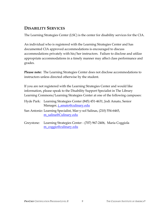# **DISABILITY SERVICES**

The Learning Strategies Center (LSC) is the center for disability services for the CIA.

An individual who is registered with the Learning Strategies Center and has documented CIA approved accommodations is encouraged to discuss accommodations privately with his/her instructors. Failure to disclose and utilize appropriate accommodations in a timely manner may affect class performance and grades.

**Please note:** The Learning Strategies Center does not disclose accommodations to instructors unless directed otherwise by the student.

If you are not registered with the Learning Strategies Center and would like information, please speak to the Disability Support Specialist in The Library Learning Commons/Learning Strategies Center at one of the following campuses:

- Hyde Park: Learning Strategies Center (845) 451-4631, Jodi Amato, Senior Manager, j\_amato@culinary.edu
- San Antonio: Learning Specialist, Mar-y-sol Salinas, (210) 554-6465, m\_salina@Culinary.edu
- Greystone: Learning Strategies Center (707) 967-2406, Maria Coggiola m\_coggio@culinary.edu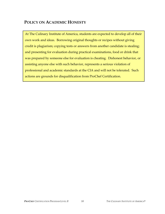## **POLICY ON ACADEMIC HONESTY**

At The Culinary Institute of America, students are expected to develop all of their own work and ideas. Borrowing original thoughts or recipes without giving credit is plagiarism; copying tests or answers from another candidate is stealing; and presenting for evaluation during practical examinations, food or drink that was prepared by someone else for evaluation is cheating. Dishonest behavior, or assisting anyone else with such behavior, represents a serious violation of professional and academic standards at the CIA and will not be tolerated. Such actions are grounds for disqualification from ProChef Certification.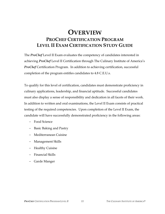# **OVERVIEW PROCHEF CERTIFICATION PROGRAM LEVEL II EXAM CERTIFICATION STUDY GUIDE**

The *ProChef* Level II Exam evaluates the competency of candidates interested in achieving *ProChef* Level II Certification through The Culinary Institute of America's *ProChef* Certification Program. In addition to achieving certification, successful completion of the program entitles candidates to 4.8 C.E.U.s.

To qualify for this level of certification, candidates must demonstrate proficiency in culinary applications, leadership, and financial aptitude. Successful candidates must also display a sense of responsibility and dedication in all facets of their work. In addition to written and oral examinations, the Level II Exam consists of practical testing of the required competencies. Upon completion of the Level II Exam, the candidate will have successfully demonstrated proficiency in the following areas:

- − Food Science
- − Basic Baking and Pastry
- − Mediterranean Cuisine
- − Management Skills
- − Healthy Cuisine
- − Financial Skills
- − Garde Manger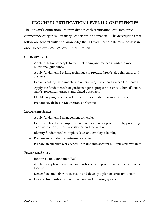# **PROCHEF CERTIFICATION LEVEL II COMPETENCIES**

The *ProChef* Certification Program divides each certification level into three competency categories – culinary, leadership, and financial. The descriptions that follow are general skills and knowledge that a Level II candidate must possess in order to achieve *ProChef* Level II Certification.

#### **CULINARY SKILLS**

- − Apply nutrition concepts to menu planning and recipes in order to meet nutritional guidelines
- − Apply fundamental baking techniques to produce breads, doughs, cakes and custards
- − Explain cooking fundamentals to others using basic food science terminology
- − Apply the fundamentals of garde manger to prepare hot or cold hors d'oeuvre, salads, forcemeat terrines, and plated appetizers
- − Identify key ingredients and flavor profiles of Mediterranean Cuisine
- − Prepare key dishes of Mediterranean Cuisine

#### **LEADERSHIP SKILLS**

- − Apply fundamental management principles
- − Demonstrate effective supervision of others in work production by providing clear instructions, effective criticism, and redirection
- − Identify fundamental workplace laws and employer liability
- − Prepare and conduct a performance review
- − Prepare an effective work schedule taking into account multiple staff variables

#### **FINANCIAL SKILLS**

- − Interpret a food operation P&L
- − Apply concepts of menu mix and portion cost to produce a menu at a targeted food cost
- − Detect food and labor waste issues and develop a plan of corrective action
- − Use and troubleshoot a food inventory and ordering system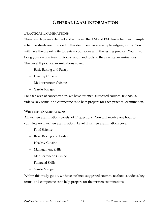# **GENERAL EXAM INFORMATION**

### **PRACTICAL EXAMINATIONS**

The exam days are extended and will span the AM and PM class schedules. Sample schedule sheets are provided in this document, as are sample judging forms. You will have the opportunity to review your score with the testing proctor. You must bring your own knives, uniforms, and hand tools to the practical examinations. The Level II practical examinations cover:

- − Basic Baking and Pastry
- − Healthy Cuisine
- − Mediterranean Cuisine
- − Garde Manger

For each area of concentration, we have outlined suggested courses, textbooks, videos, key terms, and competencies to help prepare for each practical examination.

### **WRITTEN EXAMINATIONS**

All written examinations consist of 25 questions. You will receive one hour to complete each written examination. Level II written examinations cover:

- − Food Science
- − Basic Baking and Pastry
- − Healthy Cuisine
- − Management Skills
- − Mediterranean Cuisine
- − Financial Skills
- − Garde Manger

Within this study guide, we have outlined suggested courses, textbooks, videos, key terms, and competencies to help prepare for the written examinations.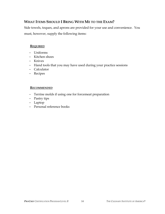### **WHAT ITEMS SHOULD I BRING WITH ME TO THE EXAM?**

Side towels, toques, and aprons are provided for your use and convenience. You must, however, supply the following items:

### **REQUIRED**

- − Uniforms
- − Kitchen shoes
- − Knives
- − Hand tools that you may have used during your practice sessions
- − Calculator
- − Recipes

#### **RECOMMENDED**

- − Terrine molds if using one for forcemeat preparation
- − Pastry tips
- − Laptop
- − Personal reference books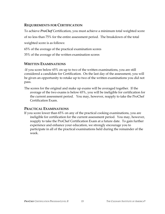### **REQUIREMENTS FOR CERTIFICATION**

To achieve *ProChef* Certification, you must achieve a minimum total weighted score of no less than 75% for the entire assessment period. The breakdown of the total weighted score is as follows:

65% of the average of the practical examination scores

35% of the average of the written examination scores

### **WRITTEN EXAMINATIONS**

-If you score below 65% on up to two of the written examinations, you are still considered a candidate for Certification. On the last day of the assessment, you will be given an opportunity to retake up to two of the written examinations you did not pass.

The scores for the original and make up exams will be averaged together. If the average of the two exams is below 65%, you will be ineligible for certification for the current assessment period. You may, however, reapply to take the ProChef Certification Exam.

### **PRACTICAL EXAMINATIONS**

If you score lower than 65% on any of the practical cooking examinations, you are ineligible for certification for the current assessment period. You may, however, reapply to take the ProChef Certification Exam at a future date. To gain further experience and enhance your education, we strongly encourage you to participate in all of the practical examinations held during the remainder of the week.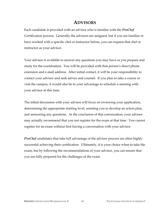# **ADVISORS**

Each candidate is provided with an advisor who is familiar with the *ProChef* Certification process. Generally the advisors are assigned, but if you are familiar or have worked with a specific chef or instructor before, you can request that chef or instructor as your advisor.

Your advisor is available to answer any questions you may have as you prepare and study for the examination. You will be provided with that person's direct phone extension and e-mail address. After initial contact, it will be your responsibility to contact your advisor and seek advice and counsel. If you plan to take a course or visit the campus, it would also be to your advantage to schedule a meeting with your advisor at this time.

The initial discussion with your advisor will focus on reviewing your application, determining the appropriate starting level, assisting you to develop an action plan, and answering any questions. At the conclusion of this conversation, your advisor may actually recommend that you not register for the exam at that time. You cannot register for an exam without first having a conversation with your advisor.

*ProChef* candidates that take full advantage of the advisor process are often highly successful achieving their certification. Ultimately, it is your choice when to take the exam, but by following the recommendations of your advisor, you can ensure that you are fully prepared for the challenges of the exam.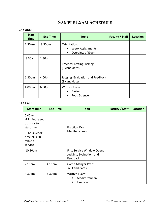# **SAMPLE EXAM SCHEDULE**

#### **DAY ONE:**

| <b>Start</b><br><b>Time</b> | <b>End Time</b>    | <b>Topic</b>                                                                  | <b>Faculty / Staff</b> | <b>Location</b> |
|-----------------------------|--------------------|-------------------------------------------------------------------------------|------------------------|-----------------|
| 7:30am                      | 8:30pm             | Orientation:<br><b>Week Assignments</b><br>٠<br>Overview of Exam<br>$\bullet$ |                        |                 |
| 8:30am                      | 1:30 <sub>pm</sub> | <b>Practical Testing: Baking</b><br>(9 candidates)                            |                        |                 |
| 1:30 <sub>pm</sub>          | 4:00 <sub>pm</sub> | Judging, Evaluation and Feedback<br>(9 candidates)                            |                        |                 |
| 4:00 <sub>pm</sub>          | 6:00 <sub>pm</sub> | Written Exam:<br><b>Baking</b><br><b>Food Science</b><br>٠                    |                        |                 |

#### **DAY TWO:**

| <b>Start Time</b>                                                                                           | <b>End Time</b>    | <b>Topic</b>                                                             | <b>Faculty / Staff</b> | <b>Location</b> |
|-------------------------------------------------------------------------------------------------------------|--------------------|--------------------------------------------------------------------------|------------------------|-----------------|
| 6:45am<br>-15 minute set<br>up prior to<br>start time<br>-3 hours cook<br>time plus 20<br>minute<br>service |                    | <b>Practical Exam:</b><br>Mediterranean                                  |                        |                 |
| 10:20am                                                                                                     |                    | <b>First Service Window Opens</b><br>Judging, Evaluation and<br>Feedback |                        |                 |
| 2:15 <sub>pm</sub>                                                                                          | 4:15 <sub>pm</sub> | Garde Manger Prep:<br>All Candidates                                     |                        |                 |
| 4:30pm                                                                                                      | 6:30 <sub>pm</sub> | Written Exam:<br>Mediterranean<br>Financial                              |                        |                 |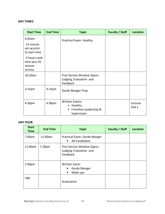#### **DAY THREE:**

| <b>Start Time</b>                                     | <b>End Time</b>    | <b>Topic</b>                                                                  | <b>Faculty / Staff</b> | <b>Location</b>   |
|-------------------------------------------------------|--------------------|-------------------------------------------------------------------------------|------------------------|-------------------|
| 6:45am<br>-15 minute<br>set up prior<br>to start time |                    | Practical Exam: Healthy                                                       |                        |                   |
| -3 hours cook<br>time plus 20<br>minute<br>service    |                    |                                                                               |                        |                   |
| 10:20am                                               |                    | First Service Window Opens<br>Judging, Evaluation and<br>Feedback             |                        |                   |
| 2:15 <sub>pm</sub>                                    | 4:15 <sub>pm</sub> | Garde Manger Prep                                                             |                        |                   |
| 4:30 <sub>pm</sub>                                    | 6:30pm             | <b>Written Exams:</b><br>• Healthy<br>• Frontline Leadership &<br>Supervision |                        | Lecture<br>Hall 1 |

#### **DAY FOUR:**

| <b>Start</b><br><b>Time</b> | <b>End Time</b>    | <b>Topic</b>                                                             | <b>Faculty / Staff</b> | <b>Location</b> |
|-----------------------------|--------------------|--------------------------------------------------------------------------|------------------------|-----------------|
| 7:00am                      | 11:00am            | Practical Exam: Garde Manger<br><b>All Candidates</b><br>$\bullet$       |                        |                 |
| 11:00am                     | 1:30 <sub>pm</sub> | <b>First Service Window Opens</b><br>Judging, Evaluation and<br>Feedback |                        |                 |
| 2:00 <sub>pm</sub>          |                    | Written Exam:<br>Garde Manger<br>Make ups<br>$\bullet$                   |                        |                 |
| TBD                         |                    | Graduation                                                               |                        |                 |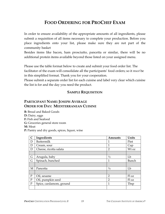# **FOOD ORDERING FOR PROCHEF EXAM**

In order to ensure availability of the appropriate amounts of all ingredients, please submit a requisition of all items necessary to complete your production. Before you place ingredients onto your list, please make sure they are not part of the community basket

Besides items like bacon, ham prosciutto, pancetta or similar, there will be no additional protein items available beyond those listed on your assigned menu.

Please use the table format below to create and submit your food order list. The facilitator of the exam will consolidate all the participants' food orders; so it *must* be in this simplified format. Thank you for your cooperation.

Please submit a separate order list for each cuisine and label very clear which cuisine the list is for and the day you need the product.

### **SAMPLE REQUISITION**

### **PARTICIPANT NAME: JOSEPH AVERAGE ORDER FOR DAY: MEDITERRANEAN CUISINE**

**B:** Bread and Baked Goods **D:** Dairy, eggs **F:** Fish and Seafood **G:** Groceries general store room **M:** Meat **P:** Pantry and dry goods, spices, liquor, wine

| $\mathsf{C}$ | Ingredients             | Amounts        | Units |
|--------------|-------------------------|----------------|-------|
| D            | <b>Buttermilk</b>       | 1              | Pint  |
| D            | Cream, sour             | 1              | Cup   |
| D            | Cheese, ricotta salata  | $\overline{2}$ | Wt oz |
|              |                         |                |       |
| G            | Arugula, baby           | $\frac{1}{2}$  | Lb    |
| G            | Spinach, bunched        | 1              | Bunch |
|              |                         |                |       |
| M            | Pancetta                | $\frac{1}{4}$  | Lb    |
|              |                         |                |       |
| $\mathbf{P}$ | Oil, sesame             | $\overline{2}$ | Fl oz |
| $\mathbf{P}$ | Oil, pumpkin seed       | $\overline{2}$ | Fl oz |
| $\mathbf{P}$ | Spice, cardamom, ground | 1              | Tbsp  |
|              |                         |                |       |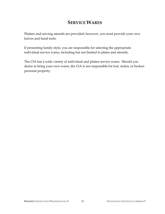# **SERVICE WARES**

Platters and serving utensils are provided; however, you must provide your own knives and hand tools.

If presenting family-style, you are responsible for selecting the appropriate individual service wares, including but not limited to plates and utensils.

The CIA has a wide variety of individual and platter service wares. Should you desire to bring your own wares, the CIA is not responsible for lost, stolen, or broken personal property.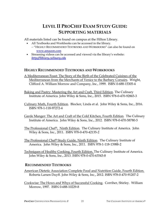# **LEVEL II PROCHEF EXAM STUDY GUIDE: SUPPORTING MATERIALS**

All materials listed can be found on campus at the Hilton Library.

- All Textbooks and Workbooks can be accessed in the library.
	- − "HIGHLY RECOMMENDED TEXTBOOKS AND WORKBOOKS" can also be found on www.amazon.com
- Streaming videos can be accessed and viewed via the library's website: *http://library.culinary.edu*

### **HIGHLY RECOMMENDED TEXTBOOKS AND WORKBOOKS**

- A Mediterranean Feast: The Story of the Birth of the Celebrated Cuisines of the Mediterranean from the Merchants of Venice to the Barbary Corsairs. Wright, Clifford A. William Morrow and Company, Inc., 1999. ISBN 0-688-15305-4
- Baking and Pastry: Mastering the Art and Craft, Third Edition. The Culinary Institute of America. John Wiley & Sons, Inc., 2015. ISBN 978-0-470-92865-3
- Culinary Math, Fourth Edition. Blocker, Linda et al. John Wiley & Sons, Inc., 2016. ISBN 978-1-118-97272-4
- Garde Manger: The Art and Craft of the Cold Kitchen, Fourth Edition. The Culinary Institute of America. John Wiley & Sons, Inc., 2012. ISBN 978-0-470-58780-5
- The Professional Chef®, Ninth Edition. The Culinary Institute of America. John Wiley & Sons, Inc., 2011. ISBN 978-0-470-42135-2
- The Professional Chef® Study Guide, Ninth Edition. The Culinary Institute of America. John Wiley & Sons, Inc., 2011. ISBN 978-1-118-13988-2
- Techniques of Healthy Cooking, Fourth Edition. The Culinary Institute of America. John Wiley & Sons, Inc., 2013. ISBN 978-0-470-63543-8

### **RECOMMENDED TEXTBOOKS**

- American Dietetic Association Complete Food and Nutrition Guide, Fourth Edition. Roberta Larsen Duyff. John Wiley & Sons, Inc., 2012. ISBN 978-0-470-91207-2
- Cookwise: The Hows and Whys of Successful Cooking. Corriher, Shirley. William Morrow, 1997. ISBN 0-688-10229-8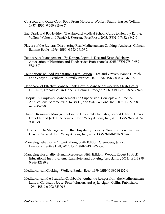- Couscous and Other Good Food From Morocco. Wolfert, Paula. Harper Collins, 1987. ISBN 0-060-91396-7
- Eat, Drink and Be Healthy: The Harvard Medical School Guide to Healthy Eating. Willett, Walter and Patrick J. Skerrett. Free Press, 2005. ISBN 0-7432-6642-0
- Flavors of the Riviera: Discovering Real Mediterranean Cooking. Andrews, Colman. Bantam Books, 1996. ISBN 0-553-09159-X
- Foodservice Management By Design. Legvold, Dee and Kristi Salisbury. Association of Nutrition and Foodservice Professionals, 2015. ISBN 978-0-982- 58843-7
- Foundations of Food Preparation, Sixth Edition. Freeland-Graves, Jeanne Himich and Gladys C. Peckham. Merrill/Prentice-Hall, 1996. ISBN 0-023-39641-5
- Handbook of Effective Management: How to Manage or Supervise Strategically. Huffmire, Donald W. and Jane D. Holmes. Praeger. 2006. ISBN 978-0-899-30923-1
- Hospitality Employee Management and Supervision: Concepts and Practical Applications. Sommerville, Kerry L. John Wiley & Sons, Inc., 2007. ISBN 978-0- 471-74522-8
- Human Resources Management in the Hospitality Industry, Second Edition. Hayes, David K. and Jack D. Ninemeier. John Wiley & Sons, Inc., 2016. ISBN 978-1-118- 98850-3
- Introduction to Management in the Hospitality Industry, Tenth Edition. Barrows, Clayton W. et al. John Wiley & Sons, Inc., 2012. ISBN 978-0-470-39974-3
- Managing Behavior in Organizations, Sixth Edition. Greenberg, Jerald. Pearson/Prentice Hall, 2013. ISBN 978-0-132-72983-3
- Managing Hospitality Human Resources, Fifth Edition. Woods, Robert H, Ph.D. Educational Institute, American Hotel and Lodging Association, 2012. ISBN 978- 0-866-12380-8
- Mediterranean Cooking. Wolfert, Paula. Ecco, 1999. ISBN 0-880-01402-4
- Mediterranean the Beautiful Cookbook: Authentic Recipes from the Mediterranean Lands. Goldstein, Joyce; Peter Johnson, and Ayla Algar. Collins Publishers, 1994. ISBN 0-002-55370-8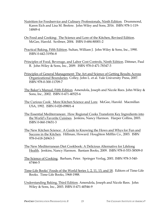- Nutrition for Foodservice and Culinary Professionals, Ninth Edition. Drummond, Karen Eich and Lisa M. Brefere. John Wiley and Sons, 2016. ISBN 978-1-119- 14849-4
- On Food and Cooking: The Science and Lore of the Kitchen, Revised Edition. McGee, Harold. Scribner, 2004. ISBN 0-684-80001-2
- Practical Baking, Fifth Edition. Sultan, William J. John Wiley & Sons, Inc., 1990. ISBN 0-442-31956-8
- Principles of Food, Beverage, and Labor Cost Controls, Ninth Edition. Dittmer, Paul R. John Wiley & Sons, Inc., 2009. ISBN 978-0-471-78347-3
- Principles of General Management: The Art and Science of Getting Results Across Organizational Boundaries. Colley, John L. et al. Yale University Press, 2007. ISBN 978-0-300-11709-7
- The Baker's Manual, Fifth Edition. Amendola, Joseph and Nicole Rees. John Wiley & Sons, Inc., 2002. ISBN 0-471-40525-6
- The Curious Cook: More Kitchen Science and Lore. McGee, Harold. Macmillan USA, 1992. ISBN 0-020-09801-4
- The Essential Mediterranean: How Regional Cooks Transform Key Ingredients into the World's Favorite Cuisines. Jenkins, Nancy Harmon. Harper Collins, 2003. ISBN 0-060-19651-3
- The New Kitchen Science: A Guide to Knowing the Hows and Whys for Fun and Success in the Kitchen. Hillman, Howard. Houghton Mifflin Co., 2003. ISBN 978-0-618-24963-3
- The New Mediterranean Diet Cookbook: A Delicious Alternative for Lifelong Health. Jenkins, Nancy Harmon. Bantam Books, 2009. ISBN 978-0-553-38509-0
- The Science of Cooking. Barham, Peter. Springer Verlag, 2001. ISBN 978-3-540- 67466-5
- Time-Life Books' Foods of the World Series 1, 2, 11, 13, and 18. Editors of Time-Life Books. Time-Life Books, 1968-1988.
- Understanding Baking, Third Edition. Amendola, Joseph and Nicole Rees. John Wiley & Sons, Inc., 2003. ISBN 0-471-40546-9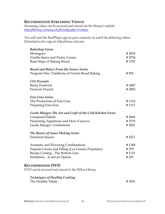### **RECOMMENDED STREAMING VIDEOS**

*Streaming videos can be accessed and viewed via the library's website: http://library.culinary.edu/friendly.php?s=videos*

*You will need the RealPlayer app on your computer to watch the following videos. Download a free copy at: http://www.real.com.* 

| <b>Bakeshop Series</b>                                     |        |
|------------------------------------------------------------|--------|
| Meringues                                                  | #2818  |
| Vanilla Sauce and Pastry Cream                             | # 2754 |
| Basic Steps of Baking Bread                                | #1701  |
| <b>Bread and Baker: From the Source Series</b>             |        |
| Program One: Traditions of French Bread Baking             | #891   |
| <b>CIA Presents</b>                                        |        |
| Remy Funfrock                                              | # 2687 |
| Francois Payard                                            | #2882  |
| <b>Foie Gras Series</b>                                    |        |
| The Production of Foie Gras                                | #1116  |
| Preparing Foie Gras                                        | #1117  |
| Garde Manger: The Art and Craft of the Cold Kitchen Series |        |
| <b>Composed Salads</b>                                     | #2664  |
| Presenting Appetizers and Hors d'oeuvre                    | # 2753 |
| Garde Manger: Condiments                                   | #2841  |
| <b>The Basics of Sauce Making Series</b>                   |        |
| <b>Emulsion Sauces</b>                                     | # 2471 |
| Aromatic and Flavoring Combinations                        | #1368  |
| Popular Cream and Filling (Les Cremes Populaire)           | # 279  |
| Recipe CostingThe Bottom Line                              | #1131  |
| SanitationIs not an Option                                 | # 201  |
| <b>RECOMMENDED DVD</b>                                     |        |
| DVD can be accessed and viewed in the Hilton Library       |        |
| <b>Techniques of Healthy Cooking</b>                       |        |
| The Healthy Palate                                         | #3831  |
|                                                            |        |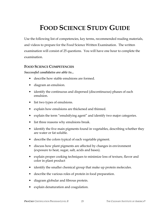# **FOOD SCIENCE STUDY GUIDE**

Use the following list of competencies, key terms, recommended reading materials, and videos to prepare for the Food Science Written Examination. The written examination will consist of 25 questions. You will have one hour to complete the examination.

### **FOOD SCIENCE COMPETENCIES**

*Successful candidates are able to...* 

- describe how stable emulsions are formed.
- diagram an emulsion.
- identify the continuous and dispersed (discontinuous) phases of each emulsion.
- list two types of emulsions.
- explain how emulsions are thickened and thinned.
- explain the term "emulsifying agent" and identify two major categories.
- list three reasons why emulsions break.
- identify the five main pigments found in vegetables, describing whether they are water or fat soluble.
- describe the colors typical of each vegetable pigment.
- discuss how plant pigments are affected by changes in environment (exposure to heat, sugar, salt, acids and bases).
- explain proper cooking techniques to minimize loss of texture, flavor and color in plant product
- identify the smaller chemical group that make up protein molecules.
- describe the various roles of protein in food preparation.
- diagram globular and fibrous protein.
- explain denaturation and coagulation.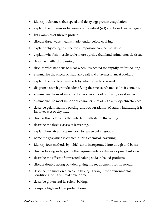- identify substances that speed and delay egg protein coagulation.
- explain the differences between a soft custard (sol) and baked custard (gel).
- list examples of fibrous protein.
- discuss three ways meat is made tender before cooking.
- explain why collagen is the most important connective tissue.
- explain why fish muscle cooks more quickly than land animal muscle tissue.
- describe maillard browning.
- discuss what happens to meat when it is heated too rapidly or for too long.
- summarize the effects of heat, acid, salt and enzymes in meat cookery.
- explain the two basic methods by which starch is cooked.
- diagram a starch granule, identifying the two starch molecules it contains.
- summarize the most important characteristics of high amylose starches.
- summarize the most important characteristics of high amylopectin starches.
- describe gelatinization, pasting, and retrogradation of starch, indicating if it involves wet or dry heat.
- discuss three elements that interfere with starch thickening.
- describe the three classes of leavening.
- explain how air and steam work to leaven baked goods.
- name the gas which is created during chemical leavening.
- identify four methods by which air is incorporated into dough and batter.
- discuss baking soda, giving the requirements for its development into gas.
- describe the effects of unreacted baking soda in baked products.
- discuss double-acting powder, giving the requirements for its reaction.
- describe the function of yeast in baking, giving three environmental conditions for its optimal development.
- describe gluten and its role in baking.
- compare high and low protein flours.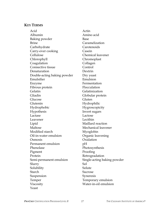### **KEY TERMS**

Acid Actin Albumin Amino acid Baking powder Base Brine Caramelization Carbohydrate Carotenoids Carry-over cooking Casein Cellulose Chemical leavener Chlorophyll Chromoplast Coagulation Collagen Connective tissue Control Denaturation Dextrin Double-acting baking powder Dry yeast Emulsifier Emulsion Enzyme Fermentation Fibrous protein Flocculation Gelatin Gelatinization Gliadin Globular protein Glucose Gluten Glutenin Hydrophilic Hydrophobic Hygroscopicity Hypothesis Invert sugars Lactase Lactose Leavener Lecithin Lipid Maillard reaction Maltose Mechanical leavener Modified starch Myoglobin Oil-in-water emulsion Organic leavening Osmosis Oxidation Permanent emulsion pH Phenolase Photosynthesis Pigment Proofing Protein Retrogradation Semi-permanent emulsion Single-acting baking powder Slurry Sol Solubility Solute Starch Sucrose Suspension Syneresis Temper Temporary emulsion Viscosity Water-in-oil emulsion Yeast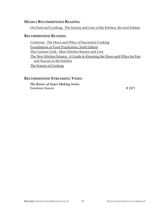### **HIGHLY RECOMMENDED READING**

On Food and Cooking: The Science and Lore of the Kitchen, Revised Edition

### **RECOMMENDED READING**

Cookwise: The Hows and Whys of Successful Cooking Foundations of Food Preparation, Sixth Edition The Curious Cook: More Kitchen Science and Lore The New Kitchen Science: A Guide to Knowing the Hows and Whys for Fun and Success in the Kitchen The Science of Cooking

### **RECOMMENDED STREAMING VIDEO**

*The Basics of Sauce Making Series*  Emulsion Sauces **# 2471**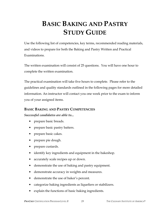# **BASIC BAKING AND PASTRY STUDY GUIDE**

Use the following list of competencies, key terms, recommended reading materials, and videos to prepare for both the Baking and Pastry Written and Practical Examinations.

The written examination will consist of 25 questions. You will have one hour to complete the written examination.

The practical examination will take five hours to complete. Please refer to the guidelines and quality standards outlined in the following pages for more detailed information. An instructor will contact you one week prior to the exam to inform you of your assigned items.

### **BASIC BAKING AND PASTRY COMPETENCIES**

### *Successful candidates are able to...*

- prepare basic breads.
- prepare basic pastry batters.
- prepare basic cakes.
- prepare pie dough.
- prepare custards.
- identify key ingredients and equipment in the bakeshop.
- accurately scale recipes up or down.
- demonstrate the use of baking and pastry equipment.
- demonstrate accuracy in weights and measures.
- demonstrate the use of baker's percent.
- categorize baking ingredients as liquefiers or stabilizers.
- explain the functions of basic baking ingredients.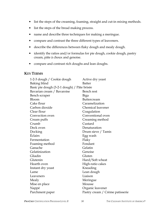- list the steps of the creaming, foaming, straight and cut-in mixing methods.
- list the steps of the bread making process.
- name and describe three techniques for making a meringue.
- compare and contrast the three different types of leaveners.
- describe the differences between flaky dough and mealy dough.
- identify the ratios and/or formulas for pie dough, cookie dough, pastry cream, pâte à choux and genoise.
- compare and contrast rich doughs and lean doughs.

### **KEY TERMS**

| 1-2-3 dough / Cookie dough                  | Active dry yeast                |
|---------------------------------------------|---------------------------------|
| Baking blind                                | <b>Batter</b>                   |
| Basic pie dough (3-2-1 dough) / Pâte brisée |                                 |
| Bavarian cream / Bavaroise                  | Bench rest                      |
| Bench scraper                               | Biga                            |
| Bloom                                       | Buttercream                     |
| Cake flour                                  | Caramelization                  |
| Carbon dioxide                              | Chemical leavener               |
| Clear flour                                 | Coagulation                     |
| Convection oven                             | Conventional oven               |
| Cream puffs                                 | Creaming method                 |
| Crumb                                       | Custard                         |
| Deck oven                                   | Denaturation                    |
| Docking                                     | Drum sieve / Tamis              |
| Éclairs                                     | Egg wash                        |
| Fermentation                                | Flaky                           |
| Foaming method                              | Fondant                         |
| Ganache                                     | Gelatin                         |
| Gelatinization                              | Genoise                         |
| Gliadin                                     | Gluten                          |
| Glutenin                                    | Hard/Soft wheat                 |
| Hearth oven                                 | High-ratio cakes                |
| Instant dry yeast                           | Kneading                        |
| Lame                                        | Lean dough                      |
| Leaveners                                   | Liaison                         |
| Mealy                                       | Meringue                        |
| Mise en place                               | Mousse                          |
| Nappé                                       | Organic leavener                |
| Parchment paper                             | Pastry cream / Crème patisserie |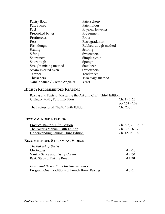| Pastry flour                   | Pâte à choux        |
|--------------------------------|---------------------|
| Pâte sucrée                    | Patent flour        |
| Peel                           | Physical leavener   |
| Precooked batter               | Pre-ferment         |
| Profiteroles                   | Proof               |
| Rest                           | Retrogradation      |
| Rich dough                     | Rubbed-dough method |
| Scaling                        | Scoring             |
| Sifting                        | Sweeteners          |
| Shorteners                     | Simple syrup        |
| Sourdough                      | Sponge              |
| Straight mixing method         | Stabilizer          |
| Steam-injected oven            | Sweeteners          |
| Temper                         | Tenderizer          |
| Thickeners                     | Two-stage method    |
| Vanilla sauce / Crème Anglaise | Yeast               |

### **HIGHLY RECOMMENDED READING**

| Baking and Pastry: Mastering the Art and Craft, Third Edition |                      |  |
|---------------------------------------------------------------|----------------------|--|
| Culinary Math, Fourth Edition                                 | Ch. 1 - 2, 13        |  |
|                                                               | pp. 162 - 168        |  |
| The Professional Chef <sup>®</sup> , Ninth Edition            | Ch. 31-36            |  |
|                                                               |                      |  |
| <b>RECOMMENDED READING</b>                                    |                      |  |
| <b>Practical Baking, Fifth Edition</b>                        | Ch. 3, 5, 7 - 10, 14 |  |
| The Baker's Manual, Fifth Edition                             | $Ch. 2, 4 - 6, 12$   |  |
| <b>Understanding Baking, Third Edition</b>                    | Ch. 12, 14 - 16      |  |
| <b>RECOMMENDED STREAMING VIDEOS</b>                           |                      |  |
| <b>The Bakeshop Series</b>                                    |                      |  |
| Meringues                                                     | #2818                |  |
| Vanilla Sauce and Pastry Cream                                | # 2754               |  |
| Basic Steps of Baking Bread                                   | #1701                |  |
| <b>Bread and Baker: From the Source Series</b>                |                      |  |
| Program One: Traditions of French Bread Baking                | # 891                |  |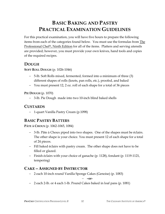# **BASIC BAKING AND PASTRY PRACTICAL EXAMINATION GUIDELINES**

For this practical examination, you will have five hours to prepare the following items from each of the categories found below. You must use the formulas from The Professional Chef®, Ninth Edition for all of the items. Platters and serving utensils are provided; however, you must provide your own knives, hand tools and copies of the required recipes.

### **DOUGH**

**SOFT ROLL DOUGH** (p. 1026-1046)

- − 5-lb. Soft Rolls mixed, fermented, formed into a minimum of three (3) different shapes of rolls (knots, pan rolls, etc.), proofed, and baked
- − You must present 12, 2 oz. roll of each shape for a total of 36 pieces

**PIE DOUGH** (p. 1070)

− 3-lb. Pie Dough made into two 10-inch blind baked shells

### **CUSTARDS**

− 1-quart Vanilla Pastry Cream (p.1098)

# **BASIC PASTRY BATTERS**

**PÂTE À CHOUX** (p. 1062-1065, 1084)

- − 3-lb. Pâte à Choux piped into two shapes. One of the shapes must be éclairs. The other shape is your choice. You must present 12 of each shape for a total of 24 pieces.
- − Fill baked éclairs with pastry cream. The other shape does not have to be filled or glazed.
- − Finish éclairs with your choice of ganache (p. 1128), fondant (p. 1119-1121, tempering)

# **CAKE – ASSIGNED BY INSTRUCTOR**

− 2 each 10-inch round Vanilla Sponge Cakes (Genoise) (p. 1083)

− **–or-** 

− 2 each 2-lb. or 4 each 1-lb. Pound Cakes baked in loaf pans (p. 1081)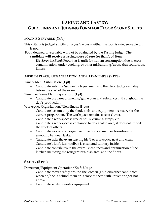# **BAKING AND PASTRY: GUIDELINES AND JUDGING FORM FOR FLOOR SCORE SHEETS**

### **FOOD IS SERVABLE (Y/N)**

- This criteria is judged strictly on a yes/no basis, either the food is safe/servable or it is not.
- Food deemed un-servable will not be evaluated by the Tasting Judge. **The candidate will receive a tasting score of zero for that food item.** 
	- − *Un-Servable Food***:** Food that is unfit for human consumption due to crosscontamination, under-cooking, or other mishandling/abuse that could cause illness.

### **MISE EN PLACE, ORGANIZATION, AND CLEANLINESS (5 PTS)**

Timely Menu Submission: **(1 pt)**

− Candidate submits *two* neatly typed menus to the Floor Judge each day before the start of the exam.

Timeline/Game Plan Preparation: **(1 pt)**

Candidate prepares a timeline/game plan and references it throughout the day's production.

Workspace Organization/Cleanliness: **(3 pts)**

- Candidate has out only the food, tools, and equipment necessary for the current preparation. The workspace remains free of clutter.
- − Candidate's workspace is free of spills, crumbs, scraps, etc.
- − Candidate's workspace is contained to designated area; it does not impede the work of others.
- − Candidate works in an organized, methodical manner transitioning smoothly between tasks.
- − Candidate exits the exam leaving his/her workspace neat and clean.
- − Candidate's knife kit/ toolbox is clean and sanitary inside.
- − Candidate contributes to the overall cleanliness and organization of the kitchen including the refrigerators, dish area, and the floors.

### **SAFETY (5 PTS)**

Demeanor/Equipment Operation/Knife Usage

- Candidate moves safely around the kitchen (i.e. alerts other candidates when he/she is behind them or is close to them with knives and/or hot items).
- − Candidate safely operates equipment.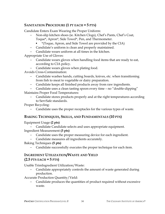### **SANITATION PROCEDURE (1 PT EACH = 5 PTS)**

Candidate Enters Exam Wearing the Proper Uniform:

- − Non-slip kitchen shoes (ie. Kitchen Clogs), Chef's Pants, Chef's Coat, Toque\*, Apron\*, Side Towel\*, Pen, and Thermometer.
	- \*(Toque, Apron, and Side Towel are provided by the CIA)
- − Candidate's uniform is clean and properly maintained.
- − Candidate wears uniform at all times in the kitchen.

Appropriate Use of Gloves:

- − Candidate wears gloves when handling food items that are ready to eat, according to CIA policy.
- − Candidate wears gloves when plating food.

Avoids Cross-Contamination:

- − Candidate washes hands, cutting boards, knives, etc. when transitioning from fish to meat to vegetable or dairy preparation.
- − Candidate keeps all finished products away from raw ingredients.
- − Candidate uses a clean tasting spoon every time no "double-dipping"

Maintains Proper Food Temperatures:

− Candidate stores products properly and at the right temperatures according to ServSafe standards.

Proper Recycling:

− Candidate uses the proper receptacles for the various types of waste.

### **BAKING TECHNIQUES, SKILLS, AND FUNDAMENTALS (10 PTS)**

Equipment Usage **(2 pts)** 

− Candidate Candidate selects and uses appropriate equipment. Ingredient Measurement **(3 pts)** 

- Candidate uses the proper measuring device for each ingredient.
- − Candidate measures all ingredients accurately.

Baking Techniques **(5 pts)** 

Candidate successfully executes the proper technique for each item.

### **INGREDIENT UTILIZATION/WASTE AND YIELD (2.5 PTS EACH = 5 PTS)**

Usable TrimIngredient Utilization/Waste:

Candidate appropriately controls the amount of waste generated during production.

Accurate Production Quantity/Yield:

Candidate produces the quantities of product required without excessive waste.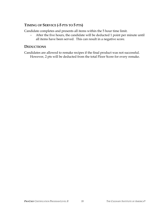## **TIMING OF SERVICE (-5 PTS TO 5 PTS)**

Candidate completes and presents all items within the 5 hour time limit.

− After the five hours, the candidate will be deducted 1 point per minute until all items have been served. This can result in a negative score.

## **DEDUCTIONS**

Candidates are allowed to remake recipes if the final product was not successful. However, 2 pts will be deducted from the total Floor Score for every remake.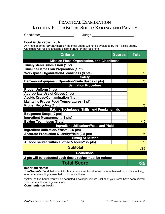# **PRACTICAL EXAMINATION KITCHEN FLOOR SCORE SHEET: BAKING AND PASTRY**

Candidate:\_\_\_\_\_\_\_\_\_\_\_\_\_\_\_\_\_\_\_ Judge:\_\_\_\_\_\_\_\_\_\_\_\_\_\_\_\_\_\_\_\_\_\_\_

#### **Food is Servable: Y / N**

Any food deemed \***un-servable** by the Floor Judge will not be evaluated by the Tasting Judge. Candidate will receive a tasting score of **zero** for that food item.

| <b>Criteria</b><br><b>Scores</b>                         | Total |
|----------------------------------------------------------|-------|
| Mise en Place, Organization, and Cleanliness             |       |
| <b>Timely Menu Submission (1 pt)</b>                     |       |
| Timeline/Game Plan Preparation (1 pt)                    |       |
| <b>Workspace Organization/Cleanliness (3 pts)</b>        | /5    |
| <b>Safety</b>                                            |       |
| Demeanor/Equipment Operation/Knife Usage (5 pts)         | /5    |
| <b>Sanitation Procedure</b>                              |       |
| Proper Uniform (1 pt)                                    |       |
| <b>Appropriate Use of Gloves (1 pt)</b>                  |       |
| <b>Avoids Cross-Contamination (1 pt)</b>                 |       |
| <b>Maintains Proper Food Temperatures (1 pt)</b>         |       |
| <b>Proper Recycling (1 pt)</b>                           | /5    |
| <b>Baking Techniques, Skills, and Fundamentals</b>       |       |
| <b>Equipment Usage (2 pts)</b>                           |       |
| Ingredient Measurement (3 pts)                           |       |
| <b>Baking Techniques (5 pts)</b>                         | /10   |
| Ingredient Utilization/Waste and Yield                   |       |
| Ingredient Utilization/ Waste (2.5 pts)                  |       |
| <b>Accurate Production Quantity/Yield (2.5 pts)</b>      | /5    |
| <b>Timing of Service</b>                                 |       |
| All food served within allotted 5 hours** (5 pts)        | /5    |
| <b>Subtotal</b>                                          | /35   |
| <b>Deductions</b>                                        |       |
| 2 pts will be deducted each time a recipe must be redone |       |
| <b>Total Score</b>                                       | 735   |

#### **Important Notes:**

**\*Un-Servable:** Food that is unfit for human consumption due to cross-contamination, under-cooking, or other mishandling/abuse that could cause illness

\*\*After the five hours, you will be deducted 1 point per minute until all of your items have been served. This can result in a negative score.

**Comments (on back):**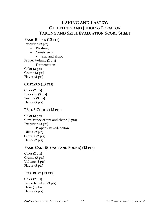## **BAKING AND PASTRY: GUIDELINES AND JUDGING FORM FOR TASTING AND SKILL EVALUATION SCORE SHEET**

**BASIC BREAD (13 PTS)** 

Execution **(2 pts)**

- − Washing
- − Consistency
	- Size and Shape

Proper Volume **(2 pts)**

− Fermentation

Color **(2 pts)** Crumb **(2 pts)** Flavor **(5 pts)**

## **CUSTARD (13 PTS)**

Color **(2 pts)** Viscosity **(3 pts)** Texture **(3 pts)** Flavor **(5 pts)**

## **PÂTÉ À CHOUX (13 PTS)**

Color **(2 pts)** Consistency of size and shape **(3 pts)** Execution **(2 pts)** − Properly baked, hollow Filling **(2 pts)** Glazing **(2 pts)** Flavor **(2 pts)**

## **BASIC CAKE (SPONGE AND POUND) (13 PTS)**

Color **(2 pts)**  Crumb **(3 pts)**  Volume **(3 pts)** Flavor **(5 pts)**

## **PIE CRUST (13 PTS)**

Color **(2 pts)**  Properly Baked **(3 pts)**  Flake **(3 pts)** Flavor **(5 pts)**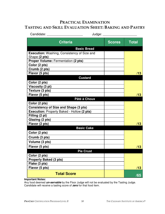## **PRACTICAL EXAMINATION TASTING AND SKILL EVALUATION SHEET: BAKING AND PASTRY**

| Candidate:                                                          | Judge: $\_$        |               |              |
|---------------------------------------------------------------------|--------------------|---------------|--------------|
| <b>Criteria</b>                                                     |                    | <b>Scores</b> | <b>Total</b> |
|                                                                     | <b>Basic Bread</b> |               |              |
| <b>Execution:</b> Washing, Consistency of Size and<br>Shape (2 pts) |                    |               |              |
| Proper Volume: Fermentation (2 pts)                                 |                    |               |              |
| Color (2 pts)                                                       |                    |               |              |
| Crumb (2 pts)                                                       |                    |               |              |
| Flavor (5 pts)                                                      |                    |               | /13          |
|                                                                     | <b>Custard</b>     |               |              |
| Color (2 pts)                                                       |                    |               |              |
| Viscosity (3 pt)                                                    |                    |               |              |
| Texture (3 pts)                                                     |                    |               |              |
| Flavor (5 pts)                                                      |                    |               | /13          |
|                                                                     | Pâté à Choux       |               |              |
| Color (2 pts)                                                       |                    |               |              |
| <b>Consistency of Size and Shape (3 pts)</b>                        |                    |               |              |
| <b>Execution: Properly Baked - Hollow (2 pts)</b>                   |                    |               |              |
| Filling (2 pt)                                                      |                    |               |              |
| Glazing (2 pts)                                                     |                    |               |              |
| Flavor (2 pts)                                                      |                    |               | /13          |
|                                                                     | <b>Basic Cake</b>  |               |              |
| Color (2 pts)                                                       |                    |               |              |
| Crumb (3 pts)                                                       |                    |               |              |
| Volume (3 pts)                                                      |                    |               |              |
| Flavor (5 pts)                                                      |                    |               | /13          |
|                                                                     | <b>Pie Crust</b>   |               |              |
| Color (2 pts)                                                       |                    |               |              |
| <b>Properly Baked (3 pts)</b>                                       |                    |               |              |
| Flake (3 pts)                                                       |                    |               |              |
| Flavor (5 pts)                                                      |                    |               | /13          |
| <b>Total Score</b>                                                  |                    |               | /65          |

#### **Important Notes:**

Any food deemed **un-servable** by the Floor Judge will not be evaluated by the Tasting Judge. Candidate will receive a tasting score of **zero** for that food item.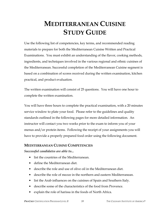# **MEDITERRANEAN CUISINE STUDY GUIDE**

Use the following list of competencies, key terms, and recommended reading materials to prepare for both the Mediterranean Cuisine Written and Practical Examinations. You must exhibit an understanding of the flavor, cooking methods, ingredients, and techniques involved in the various regional and ethnic cuisines of the Mediterranean. Successful completion of the Mediterranean Cuisine segment is based on a combination of scores received during the written examination, kitchen practical, and product evaluation.

The written examination will consist of 25 questions. You will have one hour to complete the written examination.

You will have three hours to complete the practical examination, with a 20 minutes service window to plate your food. Please refer to the guidelines and quality standards outlined in the following pages for more detailed information. An instructor will contact you two weeks prior to the exam to inform you of your menus and/or protein items. Following the receipt of your assignments you will have to provide a properly prepared food order using the following document.

#### **MEDITERRANEAN CUISINE COMPETENCIES**

*Successful candidates are able to...* 

- list the countries of the Mediterranean.
- define the Mediterranean diet.
- describe the role and use of olive oil in the Mediterranean diet.
- describe the role of mezze in the northern and eastern Mediterranean.
- list the Arab influences on the cuisines of Spain and Southern Italy.
- describe some of the characteristics of the food from Provence.
- explain the role of harissa in the foods of North Africa.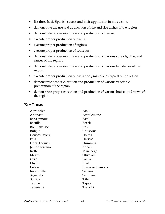- list three basic Spanish sauces and their application in the cuisine.
- demonstrate the use and application of rice and rice dishes of the region.
- demonstrate proper execution and production of mezze.
- execute proper production of paella.
- execute proper production of tagines.
- execute proper production of couscous.
- demonstrate proper execution and production of various spreads, dips, and sauces of the region.
- demonstrate proper execution and production of various fish dishes of the region.
- execute proper production of pasta and grain dishes typical of the region.
- demonstrate proper execution and production of various vegetable preparation of the region.
- demonstrate proper execution and production of various braises and stews of the region.

| Agrodolce       | Aïoli            |
|-----------------|------------------|
| Antipasti       | Avgolemono       |
| Baba ganouj     | Basil            |
| <b>Bastilla</b> | Borek            |
| Bouillabaisse   | Brik             |
| Bulgur          | Couscous         |
| Couscoussière   | Dolma            |
| Feta            | Harissa          |
| Hors d'oeuvre   | Hummus           |
| Jamón serrano   | Kebab            |
| Kefta           | Manchego         |
| Mezze           | Olive oil        |
| Orzo            | Paella           |
| Phyllo          | Pilaf            |
| Pistou          | Preserved lemons |
| Ratatouille     | Saffron          |
| Saganaki        | Semolina         |
| Sofrito         | Tābil            |
| Tagine          | Tapas            |
| Tapenade        | Tzatziki         |

#### **KEY TERMS**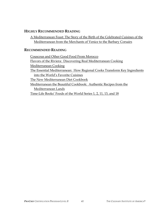## **HIGHLY RECOMMENDED READING**

A Mediterranean Feast: The Story of the Birth of the Celebrated Cuisines of the Mediterranean from the Merchants of Venice to the Barbary Corsairs

## **RECOMMENDED READING**

Couscous and Other Good Food From Morocco Flavors of the Riviera: Discovering Real Mediterranean Cooking Mediterranean Cooking The Essential Mediterranean: How Regional Cooks Transform Key Ingredients into the World's Favorite Cuisines The New Mediterranean Diet Cookbook Mediterranean the Beautiful Cookbook: Authentic Recipes from the Mediterranean Lands Time-Life Books' Foods of the World Series 1, 2, 11, 13, and 18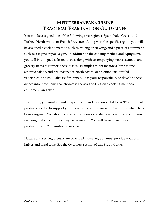# **MEDITERRANEAN CUISINE PRACTICAL EXAMINATION GUIDELINES**

You will be assigned one of the following five regions: Spain, Italy, Greece and Turkey, North Africa, or French Provence. Along with the specific region, you will be assigned a cooking method such as grilling or stewing, and a piece of equipment such as a tagine or paella pan. In addition to the cooking method and equipment, you will be assigned selected dishes along with accompanying meats, seafood, and grocery items to support these dishes. Examples might include a lamb tagine, assorted salads, and brik pastry for North Africa, or an onion tart, stuffed vegetables, and bouillabaisse for France. It is your responsibility to develop these dishes into three items that showcase the assigned region's cooking methods, equipment, and style.

In addition, you must submit a typed menu and food order list for **ANY** additional products needed to support your menu (except proteins and other items which have been assigned). You should consider using seasonal items as you build your menu, realizing that substitutions may be necessary. You will have three hours for production and 20 minutes for service.

Platters and serving utensils are provided; however, you must provide your own knives and hand tools. See the Overview section of this Study Guide.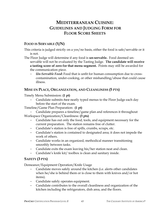# **MEDITERRANEAN CUISINE: GUIDELINES AND JUDGING FORM FOR FLOOR SCORE SHEETS**

## **FOOD IS SERVABLE (Y/N)**

- This criteria is judged strictly on a yes/no basis, either the food is safe/servable or it is not.
- The Floor Judge will determine if any food is **un-servable.** Food deemed unservable will not be evaluated by the Tasting Judge. **The candidate will receive a tasting score of zero for that menu segment.** Points may still be awarded for the communication piece.
	- − *Un-Servable Food***:** Food that is unfit for human consumption due to crosscontamination, under-cooking, or other mishandling/abuse that could cause illness.

## **MISE EN PLACE, ORGANIZATION, AND CLEANLINESS (5 PTS)**

Timely Menu Submission: **(1 pt)**

− Candidate submits *two* neatly typed menus to the Floor Judge each day before the start of the exam.

Timeline/Game Plan Preparation: **(1 pt)**

− Candidate prepares a timeline/game plan and references it throughout Workspace Organization/Cleanliness: **(3 pts)**

- − Candidate has out only the food, tools, and equipment necessary for the current preparation. The station remains free of clutter.
- − Candidate's station is free of spills, crumbs, scraps, etc.
- − Candidate's station is contained to designated area; it does not impede the work of others.
- − Candidate works in an organized, methodical manner transitioning smoothly between tasks.
- − Candidate exits the exam leaving his/her station neat and clean.
- − Candidate's knife kit/ toolbox is clean and sanitary inside.

## **SAFETY (3 PTS)**

Demeanor/Equipment Operation/Knife Usage

- Candidate moves safely around the kitchen (i.e. alerts other candidates when he/she is behind them or is close to them with knives and/or hot items).
- − Candidate safely operates equipment.
- − Candidate contributes to the overall cleanliness and organization of the kitchen including the refrigerators, dish area, and the floors.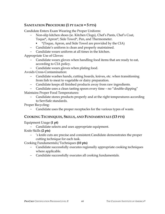## **SANITATION PROCEDURE (1 PT EACH = 5 PTS)**

Candidate Enters Exam Wearing the Proper Uniform:

- − Non-slip kitchen shoes (ie. Kitchen Clogs), Chef's Pants, Chef's Coat, Toque\*, Apron\*, Side Towel\*, Pen, and Thermometer.
	- \*(Toque, Apron, and Side Towel are provided by the CIA)
- − Candidate's uniform is clean and properly maintained.
- − Candidate wears uniform at all times in the kitchen.

Appropriate Use of Gloves:

- − Candidate wears gloves when handling food items that are ready to eat, according to CIA policy.
- − Candidate wears gloves when plating food.

Avoids Cross-Contamination:

- − Candidate washes hands, cutting boards, knives, etc. when transitioning from fish to meat to vegetable or dairy preparation.
- − Candidate keeps all finished products away from raw ingredients.
- − Candidate uses a clean tasting spoon every time no "double-dipping"

Maintains Proper Food Temperatures:

− Candidate stores products properly and at the right temperatures according to ServSafe standards.

Proper Recycling:

Candidate uses the proper receptacles for the various types of waste.

## **COOKING TECHNIQUES, SKILLS, AND FUNDAMENTALS (13 PTS)**

Equipment Usage **(1 pt)** 

Candidate selects and uses appropriate equipment.

Knife Skills **(2 pts)** 

− 's knife cuts are precise and consistent.Candidate demonstrates the proper cutting technique for each task.

Cooking Fundamentals/Techniques **(10 pts)** 

- − Candidate successfully executes regionally appropriate cooking techniques where applicable.
- − Candidate successfully executes all cooking fundamentals.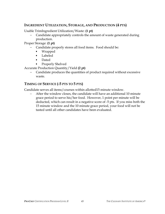## **INGREDIENT UTILIZATION, STORAGE, AND PRODUCTION (4 PTS)**

Usable TrimIngredient Utilization/Waste: **(1 pt)**

− Candidate appropriately controls the amount of waste generated during production.

Proper Storage: **(1 pt)**

- Candidate properly stores all food items. Food should be:
	- Wrapped
	- Labeled
	- Dated
	- Properly Shelved

Accurate Production Quantity/Yield **(2 pt)**

Candidate produces the quantities of product required without excessive waste.

## **TIMING OF SERVICE (-5 PTS TO 5 PTS)**

Candidate serves all items/courses within allotted15 minute window.

After the window closes, the candidate will have an additional 10 minute grace period to serve his/her food. However, 1 point per minute will be deducted, which can result in a negative score of -5 pts. If you miss both the 15 minute window and the 10 minute grace period, your food will not be tasted until all other candidates have been evaluated.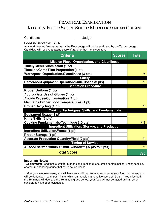# **PRACTICAL EXAMINATION KITCHEN FLOOR SCORE SHEET: MEDITERRANEAN CUISINE**

Candidate: \_\_\_\_\_\_\_\_\_\_\_\_\_\_\_\_\_\_\_\_\_\_\_\_\_\_ Judge: \_\_\_\_\_\_\_\_\_\_\_\_\_\_\_\_\_\_\_\_\_\_\_\_\_\_\_\_\_\_\_\_\_\_\_

**Food is Servable: Y / N**

Any food deemed \***un-servable** by the Floor Judge will not be evaluated by the Tasting Judge. Candidate will receive a tasting score of **zero** for that menu segment.

| <b>Criteria</b>                                           | <b>Scores</b> | <b>Total</b> |
|-----------------------------------------------------------|---------------|--------------|
| Mise en Place, Organization, and Cleanliness              |               |              |
| <b>Timely Menu Submission (1 pt)</b>                      |               |              |
| Timeline/Game Plan Preparation (1 pt)                     |               |              |
| <b>Workspace Organization/Cleanliness (3 pts)</b>         |               | /5           |
| <b>Safety</b>                                             |               |              |
| Demeanor/Equipment Operation/Knife Usage (3 pts)          |               | /3           |
| <b>Sanitation Procedure</b>                               |               |              |
| Proper Uniform (1 pt)                                     |               |              |
| Appropriate Use of Gloves (1 pt)                          |               |              |
| <b>Avoids Cross-Contamination (1 pt)</b>                  |               |              |
| <b>Maintains Proper Food Temperatures (1 pt)</b>          |               |              |
| <b>Proper Recycling (1 pt)</b>                            |               | /5           |
| <b>Cooking Techniques, Skills, and Fundamentals</b>       |               |              |
| <b>Equipment Usage (1 pt)</b>                             |               |              |
| Knife Skills (2 pts)                                      |               |              |
| <b>Cooking Fundamentals/Technique (10 pts)</b>            |               | /13          |
| Ingredient Utilization, Storage, and Production           |               |              |
| Ingredient Utilization/Waste (1 pt)                       |               |              |
| Proper Storage (1 pt)                                     |               |              |
| <b>Accurate Production Quantity/Yield (2 pts)</b>         |               | /4           |
| <b>Timing of Service</b>                                  |               |              |
| All food served within 15 min. window** (-5 pts to 5 pts) |               | /5           |
| <b>Total Score</b>                                        |               | /35          |

#### **Important Notes:**

**\*Un-Servable:** Food that is unfit for human consumption due to cross-contamination, under-cooking, or other mishandling/abuse that could cause illness

\*\*After your window closes, you will have an additional 10 minutes to serve your food. However, you will be deducted 1 point per minute, which can result in a negative score of -5 pts. If you miss both the 15 minute window and the 10 minute grace period, your food will not be tasted until all other candidates have been evaluated.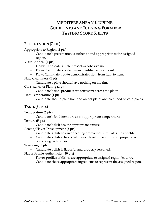# **MEDITERRANEAN CUISINE: GUIDELINES AND JUDGING FORM FOR TASTING SCORE SHEETS**

## **PRESENTATION (7 PTS)**

Appropriate to Region **(2 pts)**

Candidate's presentation is authentic and appropriate to the assigned region.

Visual Appeal **(2 pts)**

- − Unity: Candidate's plate presents a cohesive unit.
- − Focus: Candidate's plate has an identifiable focal point.
- − Flow: Candidate's plate demonstrates flow from item to item.

Plate Cleanliness **(1 pt)**

− Candidate's plate should have nothing on the rim.

Consistency of Plating **(1 pt)**

- − Candidate's final products are consistent across the plates.
- Plate Temperature **(1 pt)**
	- − Candidate should plate hot food on hot plates and cold food on cold plates.

## **TASTE (30 PTS)**

Temperature **(5 pts)**

Candidate's food items are at the appropriate temperature:

Texture **(5 pts)**

− Candidate's dish has the appropriate texture.

Aroma/Flavor Development **(5 pts)**

- − Candidate's dish has an appealing aroma that stimulates the appetite.
- − Candidate's dish exhibits full flavor development through proper execution of cooking techniques.

Seasoning **(5 pts)**

Candidate's dish is flavorful and properly seasoned.

Flavor Profile Authenticity **(10 pts)**

- − Flavor profiles of dishes are appropriate to assigned region/country.
- − Candidate chose appropriate ingredients to represent the assigned region.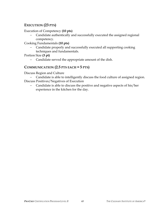## **EXECUTION (23 PTS)**

Execution of Competency **(10 pts)**

− Candidate authentically and successfully executed the assigned regional competency.

Cooking Fundamentals **(10 pts)**

− Candidate properly and successfully executed all supporting cooking techniques and fundamentals.

Portion Size **(3 pt)**

− Candidate served the appropriate amount of the dish.

## **COMMUNICATION (2.5 PTS EACH = 5 PTS)**

Discuss Region and Culture

− Candidate is able to intelligently discuss the food culture of assigned region. Discuss Positives/Negatives of Execution

− Candidate is able to discuss the positive and negative aspects of his/her experience in the kitchen for the day.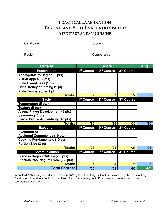# **PRACTICAL EXAMINATION TASTING AND SKILL EVALUATION SHEET: MEDITERRANEAN CUISINE**

Candidate:\_\_\_\_\_\_\_\_\_\_\_\_\_\_\_\_ Judge:\_\_\_\_\_\_\_\_\_\_\_\_\_\_\_\_\_\_\_\_

Region:\_\_\_\_\_\_\_\_\_\_\_\_\_\_\_\_ Competency: \_\_\_\_\_\_\_\_\_\_\_\_\_\_\_

| <b>Criteria</b>                             | <b>Score</b>           |                        | Avg.       |            |
|---------------------------------------------|------------------------|------------------------|------------|------------|
| <b>Presentation</b>                         | 1 <sup>st</sup> Course | 2 <sup>nd</sup> Course | 3rd Course |            |
| <b>Appropriate to Region (2 pts)</b>        |                        |                        |            |            |
| Visual Appeal (2 pts)                       |                        |                        |            |            |
| <b>Plate Cleanliness (1 pt)</b>             |                        |                        |            |            |
| <b>Consistency of Plating (1 pt)</b>        |                        |                        |            |            |
| Plate Temperature (1 pt)                    |                        |                        |            |            |
| <b>Totals:</b>                              | $\sqrt{7}$             | $\sqrt{7}$             | $\sqrt{7}$ | $\sqrt{7}$ |
| <b>Taste</b>                                | 1 <sup>st</sup> Course | 2 <sup>nd</sup> Course | 3rd Course |            |
| Temperature (5 pts)                         |                        |                        |            |            |
| Texture (5 pts)                             |                        |                        |            |            |
| Aroma/Flavor Development (5 pts)            |                        |                        |            |            |
| Seasoning (5 pts)                           |                        |                        |            |            |
| <b>Flavor Profile Authenticity (10 pts)</b> |                        |                        |            |            |
| <b>Totals:</b>                              | /30                    | /30                    | /30        | /30        |
| <b>Execution</b>                            | 1 <sup>st</sup> Course | 2 <sup>nd</sup> Course | 3rd Course |            |
| <b>Execution of</b>                         |                        |                        |            |            |
| <b>Assigned Competency (10 pts)</b>         |                        |                        |            |            |
| <b>Cooking Fundamentals (10 pts)</b>        |                        |                        |            |            |
| Portion Size (3 pt)                         |                        |                        |            |            |
| <b>Totals:</b>                              | /23                    | /23                    | /23        | /23        |
| <b>Communication</b>                        | 1 <sup>st</sup> Course | 2 <sup>nd</sup> Course | 3rd Course |            |
| Discuss Region/Culture (2.5 pts)            |                        |                        |            |            |
| Discuss Pos./Neg. of Exec. (2.5 pts)        |                        |                        |            |            |
| <b>Totals:</b>                              | /5                     | /5                     | /5         | /5         |
| <b>Total Scores:</b>                        | /65                    | /65                    | /65        | /65        |

**Important Notes:** Any food deemed **un-servable** by the Floor Judge will not be evaluated by the Tasting Judge. Candidate will receive a tasting score of **zero** for that menu segment. Points may still be awarded for the communication piece.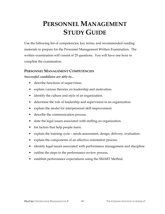# **PERSONNEL MANAGEMENT STUDY GUIDE**

Use the following list of competencies, key terms, and recommended reading materials to prepare for the Personnel Management Written Examination. The written examination will consist of 25 questions. You will have one hour to complete the examination.

## **PERSONNEL MANAGEMENT COMPETENCIES**

#### *Successful candidates are able to...*

- describe functions of supervision.
- explain various theories on leadership and motivation.
- identify the culture and style of an organization.
- determine the role of leadership and supervision in an organization.
- explain the model for interpersonal skill improvement.
- describe the communication process.
- state the legal issues associated with staffing an organization.
- list factors that help people learn.
- explain the training cycle needs assessment, design, delivery, evaluation.
- explain the components of an effective orientation process.
- identify legal issues associated with performance management and discipline.
- outline the steps to the performance review process.
- establish performance expectations using the SMART Method.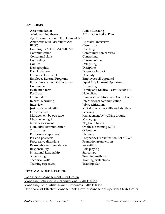## **KEY TERMS**

| Accommodation                        | <b>Active Listening</b>               |  |
|--------------------------------------|---------------------------------------|--|
| Adult learning theory                | Affirmative Action Plan               |  |
| Age Discrimination in Employment Act |                                       |  |
| Americans with Disabilities Act      | Appraisal interview                   |  |
| <b>BFOQ</b>                          | Case study                            |  |
| Civil Rights Act of 1964, Title VII  | Coaching                              |  |
| Communication                        | Communication barriers                |  |
| Conceptual skills                    | Controlling                           |  |
| Counseling                           | Course outline                        |  |
| Culture                              | Delegating                            |  |
| Demographics                         | Discipline                            |  |
| Discrimination                       | Disparate Impact                      |  |
| Disparate Treatment                  | Diversity                             |  |
| <b>Employee Referral Programs</b>    | Employee self-appraisal               |  |
| Equal Employment Opportunity         | Equal Employment Opportunity          |  |
| Commission                           | Evaluating                            |  |
| <b>Evaluation</b> form               | Family and Medical Leave Act of 1993  |  |
| Feedback                             | Halo effect                           |  |
| Human skill                          | Immigration Reform and Control Act    |  |
| Internal recruiting                  | Interpersonal communication           |  |
| Interview                            | Job specifications                    |  |
| Just cause termination               | KSA (knowledge, skills and abilities) |  |
| Labor market                         | Learning                              |  |
| Management by objective              | Management by walking around          |  |
| Management grid                      | Managing                              |  |
| Needs assessment                     | Negligent hiring                      |  |
| Nonverbal communication              | On the job training (OJT)             |  |
| Organizing                           | Orientation                           |  |
| Performance appraisal                | Planning                              |  |
| Pre and post tests                   | Pregnancy Discrimination Act of 1978  |  |
| Progressive discipline               | Promotion from within                 |  |
| Reasonable accommodation             | Recruiting                            |  |
| Responsibility                       | Role playing                          |  |
| Situational Leadership               | Stereotype                            |  |
| Supervising                          | Teaching methods                      |  |
| <b>Technical skills</b>              | Training evaluations                  |  |
| Training objectives                  | Training plan                         |  |
|                                      |                                       |  |

## **RECOMMENDED READING**

Foodservice Management – By Design. Managing Behavior in Organizations, Sixth Edition. Managing Hospitality Human Resources, Fifth Edition. Handbook of Effective Management: How to Manage or Supervise Strategically.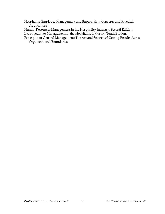Hospitality Employee Management and Supervision: Concepts and Practical Applications.

Human Resources Management in the Hospitality Industry, Second Edition. Introduction to Management in the Hospitality Industry, Tenth Edition.

Principles of General Management: The Art and Science of Getting Results Across Organizational Boundaries.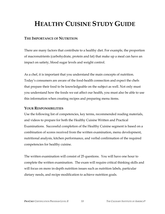# **HEALTHY CUISINE STUDY GUIDE**

## **THE IMPORTANCE OF NUTRITION**

There are many factors that contribute to a healthy diet. For example, the proportion of macronutrients (carbohydrate, protein and fat) that make up a meal can have an impact on satiety, blood sugar levels and weight control.

As a chef, it is important that you understand the main concepts of nutrition. Today's consumers are aware of the food-health connection and expect the chefs that prepare their food to be knowledgeable on the subject as well. Not only must you understand how the foods we eat affect our health, you must also be able to use this information when creating recipes and preparing menu items.

## **YOUR RESPONSIBILITIES**

Use the following list of competencies, key terms, recommended reading materials, and videos to prepare for both the Healthy Cuisine Written and Practical Examinations. Successful completion of the Healthy Cuisine segment is based on a combination of scores received from the written examination, menu development, nutritional analysis, kitchen performance, and verbal confirmation of the required competencies for healthy cuisine.

The written examination will consist of 25 questions. You will have one hour to complete the written examination. The exam will require critical thinking skills and will focus on more in-depth nutrition issues such as nutrition labels, particular dietary needs, and recipe modification to achieve nutrition goals.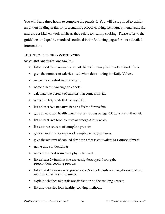You will have three hours to complete the practical. You will be required to exhibit an understanding of flavor, presentation, proper cooking techniques, menu analysis, and proper kitchen work habits as they relate to healthy cooking. Please refer to the guidelines and quality standards outlined in the following pages for more detailed information.

## **HEALTHY CUISINE COMPETENCIES**

#### *Successful candidates are able to...*

- list at least three nutrient content claims that may be found on food labels.
- give the number of calories used when determining the Daily Values.
- name the sweetest natural sugar.
- name at least two sugar alcohols.
- calculate the percent of calories that come from fat.
- name the fatty acids that increase LDL.
- list at least two negative health effects of trans fats
- give at least two health benefits of including omega-3 fatty acids in the diet.
- list at least two food sources of omega-3 fatty acids.
- list at three sources of complete proteins
- give at least two examples of complementary proteins
- give the amount of cooked dry beans that is equivalent to 1 ounce of meat
- name three antioxidants.
- name four food sources of phytochemicals.
- list at least 2 vitamins that are easily destroyed during the preparation/cooking process.
- list at least three ways to prepare and/or cook fruits and vegetables that will minimize the loss of vitamins..
- explain whether minerals are stable during the cooking process.
- list and describe four healthy cooking methods.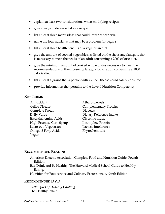- explain at least two considerations when modifying recipes.
- give 2 ways to decrease fat in a recipe.
- list at least three menu ideas that could lower cancer risk.
- name the four nutrients that may be a problem for vegans.
- list at least three health benefits of a vegetarian diet.
- give the amount of cooked vegetables, as listed on the choosemyplate.gov, that is necessary to meet the needs of an adult consuming a 2000 calorie diet.
- give the minimum amount of cooked whole grains necessary to meet the recommendations of the choosemyplate.gov for an adult consuming a 2000 calorie diet.
- list at least 4 grains that a person with Celiac Disease could safely consume.
- provide information that pertains to the Level I Nutrition Competency.

## **KEY TERMS**

- Antioxidant Atherosclerosis Celiac Disease Complementary Proteins Complete Protein Diabetes Daily Value Dietary Reference Intake Essential Amino Acids Glycemic Index High Fructose Corn Syrup Incomplete Protein Lacto-ovo Vegetarian Lactose Intolerance Omega-3 Fatty Acids Phytochemicals Vegan
- 

## **RECOMMENDED READING**

| American Dietetic Association Complete Food and Nutrition Guide, Fourth |
|-------------------------------------------------------------------------|
| Edition.                                                                |
| Eat, Drink and Be Healthy: The Harvard Medical School Guide to Healthy  |
| Eating.                                                                 |
| Nutrition for Foodservice and Culinary Professionals, Ninth Edition.    |
|                                                                         |

## **RECOMMENDED DVD**

*Techniques of Healthy Cooking* The Healthy Palate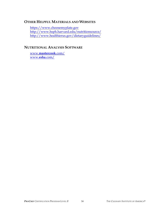## **OTHER HELPFUL MATERIALS AND WEBSITES**

https://www.choosemyplate.gov http://www.hsph.harvard.edu/nutritionsource/ http://www.healthierus.gov/dietaryguidelines/

## **NUTRITIONAL ANALYSIS SOFTWARE**

www.**mastercook**.com/ www.**esha**.com/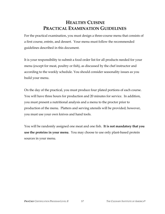# **HEALTHY CUISINE PRACTICAL EXAMINATION GUIDELINES**

For the practical examination, you must design a three-course menu that consists of a first course, entrée, and dessert. Your menu must follow the recommended guidelines described in this document.

It is your responsibility to submit a food order list for all products needed for your menu (except for meat, poultry or fish), as discussed by the chef instructor and according to the weekly schedule. You should consider seasonality issues as you build your menu.

On the day of the practical, you must produce four plated portions of each course. You will have three hours for production and 20 minutes for service. In addition, you must present a nutritional analysis and a menu to the proctor prior to production of the menu. Platters and serving utensils will be provided; however, you must use your own knives and hand tools.

You will be randomly assigned one meat and one fish. **It is not mandatory that you use the proteins in your menu**. You may choose to use only plant-based protein sources in your menu.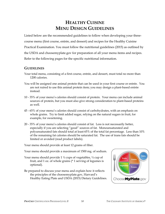# **HEALTHY CUISINE MENU DESIGN GUIDELINES**

Listed below are the recommended guidelines to follow when developing your threecourse menu (first course, entrée, and dessert) and recipes for the Healthy Cuisine Practical Examination. You must follow the nutritional guidelines (2015) as outlined by the USDA and choosemyplate.gov for preparation of all your menu items and recipes. Refer to the following pages for the specific nutritional information.

## **GUIDELINES**

- Your total menu, consisting of a first course, entrée, and dessert, must total no more than 1200 calories.
- You will be assigned one animal protein that can be used in your first course or entrée. You are not ruired to use this animal protein item; you may design a plant-based entrée instead.
- 10 35% of your menu's calories should consist of protein. Your menu can include animal sources of protein, but you must also give strong consideration to plant-based proteins as well.
- 45 65% of your menu's calories should consist of carbohydrates, with an emphasis on whole grains. Try to limit added sugar, relying on the natural sugars in fruit, for example, for sweetening.
- 20 35% of your menu's calories should consist of fat. Less is not necessarily better, especially if you are selecting "good" sources of fat. Monounsaturated and polyunsaturated fats should total at least 65% of the total fat percentage. Less than 10% of the remaining fat calories should be saturated fat. The use of trans fats should be limited or avoided (read product labels).

Your menu should provide at least 12 grams of fiber.

Your menu should provide a maximum of 1500 mg. of sodium.

- Your menu should provide  $1\frac{1}{2}$  cups of vegetables,  $\frac{1}{2}$  cup of fruit, and 1 oz. of whole grains (\* 1 serving of legumes is optional).
- Be prepared to discuss your menu and explain how it reflects the principles of the choosemyplate.gov, Harvard's Healthy Eating Plate and USDA (2015) Dietary Guidelines.

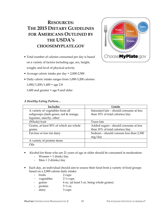# **RESOURCES: THE 2015 DIETARY GUIDELINES FOR AMERICANS OUTLINED BY THE USDA'S CHOOSEMYPLATE.GOV**

- Total number of calories consumed per day is based on a variety of factors including age, sex, height, weight, and level of physical activity
- Average caloric intake per day = 2,000-2,500
- Daily caloric intake ranges from 1,000-3,200 calories:
	- $1,000/1,200/1,400$  = age 2-8
	- 1,600 and greater = age 9 and older

#### *A Healthy Eating Pattern…*

| <b>Includes</b>                         | Limits                                  |
|-----------------------------------------|-----------------------------------------|
| A variety of vegetables from all        | Saturated fats - should consume at less |
| subgroups (dark-green, red & orange,    | than 10% of total calories/day          |
| legumes, starchy, other                 |                                         |
| (Whole) fruit                           | Trans fats                              |
| Grains, at least 50% of which are whole | Added sugars - should consume at less   |
| grains                                  | than 10% of total calories/day          |
| Fat-free or low-fat dairy               | Sodium - should consum less than 2,300  |
|                                         | mg/day                                  |
| A variety of protein items              |                                         |
| Oils                                    |                                         |

- Alcohol for those who are 21 years of age or older should be consumed in moderation:
	- Women =  $1$  drink/day
	- Men = 2 drinks/day
- Each day, an individual should aim to source their food from a variety of food groups based on a 2,000 calorie daily intake:
	- fruits 2 cups
	- vegetables  $2\frac{1}{2}$  cups
	- grains 6 oz. (at least 3 oz. being whole grains)
	- protein  $5\frac{1}{2}$  oz.
	- dairy 3 cups

**Dairy Fruits** Grains eqetabl Protein ChooseMyPlate.gov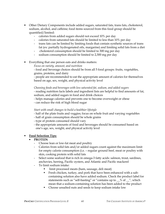- Other Dietary Components include added sugars, saturated fats, trans fats, cholesterol, sodium, alcohol, and caffeine; food items sourced from this food group should be quantified/limited:
	- calories from added sugars should not exceed 10% per day
	- calories from saturated fats should be limited to less than 10% per day
	- trans fats can be limited by limiting foods that contain synthetic sources of trans fat (ex: partially hydrogenated oils, margarine) and limiting solid fats from a diet
	- cholesterol consumption should be limited to 300 mg per day
	- sodium consumption should be limited to 2,300 mg per day
- Everything that one person eats and drinks matters:
	- *Focus on variety, amount, and nutrition*

- food and beverage choices should be from all 5 food groups: fruits, vegetables, grains, proteins, and dairy

- people are recommended to eat the appropriate amount of calories for themselves based on age, sex, weight, and physical activity level

*Choosing foods and beverages with less saturated fat, sodium, and added sugars* 

- reading nutrition facts labels and ingredient lists are helpful to find amounts of fat, sodium, and added sugars in food and drink choices

- helps manage calories and prevents one to become overweight or obese
- can reduce the risk of high blood sugar

#### *Start with small changes to build a healthier lifestyle*

- half of the plate fruits and veggies; focus on whole fruit and varying vegetables
- half of grain consumption should be whole grains
- type of protein consumed should vary
- the appropriate amounts of food and beverages should be consumed based on one's age, sex, weight, and physical activity level

#### • **Food Selection Tips:**

#### • **PROTEIN**

- Choose lean or low-fat meat and poultry
- Calories from solid fats and/or added sugars count against the maximum limit for empty calorie consumption (i.e. – regular ground beef, meat or poultry with skin, cooking protein with solid fats
- Select some seafood that is rich in omega-3 fatty acids: salmon, trout, sardines, anchovies, herring, Pacific oysters, and Atlantic and Pacific mackerel
- To limit sodium intake:
	- limit processed meats (ham, sausage, deli meat)
	- - Fresh chicken, turkey, and pork that have been enhanced with a saltcontaining solution also have added sodium. Check the product label for statements such as "self-basting" or "contains up to \_\_% of \_\_", which mean that a sodium-containing solution has been added to the product
	- -Choose unsalted nuts and seeds to keep sodium intake low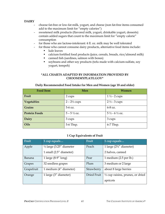#### **DAIRY**

- choose fat-free or low-fat milk, yogurt, and cheese (non fat-free items consumed add to the maximum limit for "empty calories")
- sweetened milk products (flavored milk, yogurt, drinkable yogurt, desserts) contain added sugars that count to the maximum limit for "empty calorie" consumption
- for those who are lactose-intolerant: 4 fl. oz. milk may be well tolerated
- for those who cannot consume dairy products, alternative food items include:
	- kale leaves
	- calcium fortified food products (juice, cereals, breads, rice/almond milk)
	- canned fish (sardines, salmon with bones)
	- soybeans and other soy products (tofu made with calcium-sulfate, soy yogurt, tempeh)

#### **\*ALL CHARTS ADAPTED BY INFORMATION PROVIDED BY CHOOSEMYPLATE.GOV\***

#### **Daily Recommended Food Intake for Men and Women (age 18 and older)**

| <b>Food Item</b>     | Men                     | Women                             |
|----------------------|-------------------------|-----------------------------------|
| Fruit                | 2 cups                  | $1\frac{1}{2}$ - 2 cups           |
| Vegetables           | $2 - 2\frac{1}{2}$ cups | $2\frac{1}{2}$ - 3 cups           |
| Grains               | 5-6 oz.                 | 6-8 oz.                           |
| <b>Protein Foods</b> | $5 - 5 \frac{1}{2}$ oz. | $5\frac{1}{2} - 6\frac{1}{2}$ oz. |
| <b>Dairy</b>         | 3 cups                  | 3 cups                            |
| <b>Oils</b>          | 5-6 Tbsp.               | 6-7 Tbsp.                         |

#### **1 Cup Equivalents of Fruit**

| Fruit      | 1 cup equals                        | Fruit       | 1 cup equals                                |
|------------|-------------------------------------|-------------|---------------------------------------------|
| Apple      | $\frac{1}{2}$ large (3.25" diameter | Peach       | 1 large $(2\frac{3}{4}$ " diameter)         |
|            | 1 small (2.5" diameter)             |             | 2 halves, canned                            |
| Banana     | 1 large $(8-9"$ long)               | Pear        | 1 medium $(2.5$ per lb.)                    |
| Grapes     | 32 seedless grapes                  | Plum        | 3 medium or 2 large                         |
| Grapefruit | 1 medium (4" diameter)              | Strawberry  | about 8 large berries                       |
| Orange     | 1 large (3" diameter)               | Dried Fruit | $\frac{1}{2}$ cup raisins, prunes, or dried |
|            |                                     |             | apricots                                    |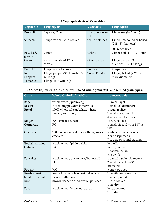|  |  |  |  | 1 Cup Equivalents of Vegetables |
|--|--|--|--|---------------------------------|
|--|--|--|--|---------------------------------|

| Vegetable           | 1 cup equals                       | Vegetable                | 1 cup equals                                                                     |
|---------------------|------------------------------------|--------------------------|----------------------------------------------------------------------------------|
| <b>Broccoli</b>     | 3 spears, 5" long                  | Corn, yellow or<br>white | 1 large ear $(8-9"$ long)                                                        |
| Spinach             | 2 cups raw or 1 cup cooked         | white potatoes           | 1 medium, boiled or baked<br>$(2 \frac{1}{2} - 3''$ diameter)<br>20 French fries |
| Raw leafy<br>greens | 2 cups                             | Celery                   | 2 large stalks (11-12" long)                                                     |
| Carrot              | 2 medium, about 12 baby<br>carrots | Green pepper             | 1 large pepper (3"<br>diameter, $33/4$ " long)                                   |
| Pumpkin             | 1 cup mashed, cooked               | Lettuce                  | 2 cups, raw                                                                      |
| Red                 | 1 large pepper (3" diameter, 3     | <b>Sweet Potato</b>      | 1 large, baked $(2\frac{1}{4}$ " or                                              |
| Peppers             | $\frac{3}{4}$ " long)              |                          | more diameter)                                                                   |
| Tomatoes            | 1 large, raw whole $(3'')$         |                          |                                                                                  |

## **1 Ounce Equivalents of Grains (with noted whole grain \*WG and refined grain types)**

| Grain            | <b>Whole Grain/Refined Grain</b>                        | 1 ounce equals                                         |  |
|------------------|---------------------------------------------------------|--------------------------------------------------------|--|
| <b>Bagel</b>     | whole wheat/plain, egg                                  | 1" mini bagel                                          |  |
| <b>Biscuit</b>   | RF: baking powder, buttermilk                           | 1 small (2" diameter)                                  |  |
| <b>Bread</b>     | 100% whole wheat/white, wheat,                          | 1 regular slice                                        |  |
|                  | French, sourdough                                       | 1 small slice, French                                  |  |
|                  |                                                         | 4 snack-sized slices, rye                              |  |
| Bulger           | WG: cracked wheat                                       | $\frac{1}{2}$ cup, cooked                              |  |
| Cornbread        | RG                                                      | 1 small piece $(2 \frac{1}{2}$ " x $1 \frac{1}{4}$ " x |  |
|                  |                                                         | $1\frac{1}{4}$ ")                                      |  |
| Crackers         | 100% whole wheat, rye/saltines, snack                   | 5 whole wheat crackers                                 |  |
|                  | crackers                                                | 2 rye crispbreads                                      |  |
|                  |                                                         | 7 square or round crackers                             |  |
| English muffins  | whole wheat/plain, raisin                               | $\frac{1}{2}$ muffin                                   |  |
| Oatmeal          | <b>WG</b>                                               | $\frac{1}{2}$ cup, cooked                              |  |
|                  |                                                         | 1 packet, instant                                      |  |
|                  |                                                         | $\frac{1}{3}$ cup, dry                                 |  |
| Pancakes         | whole wheat, buckwheat/buttermilk,                      | 1 pancake (4 $\frac{1}{2}$ " diameter)                 |  |
|                  | plain                                                   | 2 small pancakes (3"                                   |  |
|                  |                                                         | diameter)                                              |  |
| Popcorn          | <b>WG</b>                                               | 3 cups, popped                                         |  |
| Ready-to-eat     | toasted oat, whole wheat flakes/corn                    | 1 cup flakes or rounds                                 |  |
| breakfast cereal | flakes, puffed rice                                     | $1\frac{1}{4}$ cup puffed                              |  |
| Rice             | brown rice/enriched, white, polished                    | $\frac{1}{2}$ cup cooked                               |  |
|                  |                                                         | 1 oz. dry                                              |  |
| Pasta            | $\frac{1}{2}$ cup cooked<br>whole wheat/enriched, durum |                                                        |  |
|                  |                                                         | 1 oz. dry                                              |  |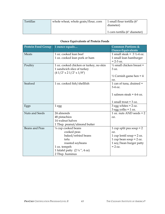| Tortillas | whole wheat, whole grain/flour, corn | 1 small flour tortilla (6"<br>diameter) |
|-----------|--------------------------------------|-----------------------------------------|
|           |                                      | 1 corn tortilla (6" diameter)           |

## **Ounce Equivalents of Protein Foods**

| <b>Protein Food Group</b> | 1 ounce equals                                                   | <b>Common Portions &amp;</b><br><b>Ounce-Equivalents</b> |  |
|---------------------------|------------------------------------------------------------------|----------------------------------------------------------|--|
| <b>Meats</b>              | 1 oz. cooked lean beef                                           | 1 small steak = $3\frac{1}{2}$ -4 oz.                    |  |
|                           | 1 oz. cooked lean pork or ham                                    | 1 small lean hamburger                                   |  |
|                           |                                                                  | $= 2 - 3$ oz.                                            |  |
| Poultry                   | 1 oz. cooked chicken or turkey, no skin                          | $\frac{1}{2}$ small chicken breast =                     |  |
|                           | 1 sandwich slice of turkey<br>$(41/2" \times 21/2" \times 1/8")$ | 3 oz.                                                    |  |
|                           |                                                                  | $\frac{1}{2}$ Cornish game hen = 4                       |  |
|                           |                                                                  | OZ.                                                      |  |
| Seafood                   | 1 oz. cooked fish/shellfish                                      | 1 can of tuna, drained =                                 |  |
|                           |                                                                  | 3-4 oz.                                                  |  |
|                           |                                                                  |                                                          |  |
|                           |                                                                  | 1 salmon steak = $4-6$ oz.                               |  |
|                           |                                                                  |                                                          |  |
|                           |                                                                  | 1 small trout = $3 oz$ .                                 |  |
| Eggs                      | 1 egg                                                            | $3$ egg whites = $2$ oz.                                 |  |
|                           |                                                                  | $3$ egg yolks = $1$ oz.                                  |  |
| Nuts and Seeds            | 24 almonds                                                       | 1 oz. nuts AND seeds $= 2$                               |  |
|                           | 48 pistachios                                                    | OZ.                                                      |  |
|                           | 14 walnut halves                                                 |                                                          |  |
|                           | 1 Tbsp. peanut/almond butter                                     |                                                          |  |
| <b>Beans and Peas</b>     | $\frac{1}{4}$ cup cooked beans                                   | 1 cup split pea soup = $2$                               |  |
|                           | cooked peas                                                      | OZ.                                                      |  |
|                           | baked/refried beans                                              | 1 cup lentil soup = $2 oz$ .                             |  |
|                           | tofu                                                             | 1 cup bean soup = $2 oz$ .                               |  |
|                           | roasted soybeans                                                 | 1 soy/bean burger patty                                  |  |
|                           | 1 oz. tempeh                                                     | $= 2 oz$ .                                               |  |
|                           | 1 falafel patty $(2\frac{1}{4}$ ", 4 oz)                         |                                                          |  |
|                           | 2 Tbsp. hummus                                                   |                                                          |  |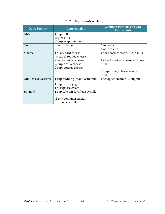| <b>Dairy Product</b> | 1 cup equals                          | <b>Common Portions and Cup</b><br><b>Equivalents</b> |
|----------------------|---------------------------------------|------------------------------------------------------|
| Milk                 | 1 cup milk                            |                                                      |
|                      | $\frac{1}{2}$ pint milk               |                                                      |
|                      | $\frac{1}{2}$ cup evaporated milk     |                                                      |
| Yogurt               | 8 oz. container                       | 6 oz. = $\frac{3}{4}$ cup                            |
|                      |                                       | $4 oz. = \frac{1}{2} cup$                            |
| Cheese               | $1\frac{1}{2}$ oz. hard cheese        | 1 slice hard cheese = $\frac{1}{2}$ cup milk         |
|                      | $\frac{1}{3}$ cup shredded cheese     |                                                      |
|                      | 2 oz. American cheese                 | 1 slice American cheese = $\frac{1}{3}$ cup          |
|                      | $\frac{1}{2}$ cup ricotta cheese      | milk                                                 |
|                      | 2 cups cottage cheese                 |                                                      |
|                      |                                       | $\frac{1}{2}$ cup cottage cheese = $\frac{1}{4}$ cup |
|                      |                                       | milk                                                 |
| Milk-based Desserts  | 1 cup pudding (made with milk)        | 1 scoop ice cream = $\frac{1}{3}$ cup milk           |
|                      | 1 cup frozen yogurt                   |                                                      |
|                      | $1\frac{1}{2}$ cups ice cream         |                                                      |
| Soymilk              | 1 cup calcium-fortified soymilk       |                                                      |
|                      |                                       |                                                      |
|                      | $\frac{1}{2}$ pint container calcium- |                                                      |
|                      | fortified soymilk                     |                                                      |

## **1 Cup Equivalents of Dairy**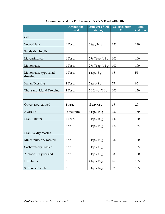|                                   | <b>Amount of</b><br>Food | <b>Amount of Oil</b><br>(tsp/g)  | <b>Calories from</b><br>Oil | <b>Total</b><br><b>Calories</b> |
|-----------------------------------|--------------------------|----------------------------------|-----------------------------|---------------------------------|
| Oil:                              |                          |                                  |                             |                                 |
| Vegetable oil                     | 1 Tbsp.                  | $3 \text{ tsp}/14 \text{ g}$     | 120                         | 120                             |
| Foods rich in oils:               |                          |                                  |                             |                                 |
| Margarine, soft                   | 1 Tbsp.                  | $2\frac{1}{2}Tbsp./11g$          | 100                         | 100                             |
| Mayonnaise                        | 1 Tbsp.                  | $2\frac{1}{2}Tbsp./11g$          | 100                         | 100                             |
| Mayonnaise-type salad<br>dressing | 1 Tbsp.                  | $1 \text{ tsp.}/5 g$             | 45                          | 55                              |
| <b>Italian Dressing</b>           | 2 Tbsp.                  | $2$ tsp./8 g                     | 75                          | 85                              |
| Thousand Island Dressing          | 2 Tbsp.                  | $21.2 \text{ tsp.}/11 \text{ g}$ | 100                         | 120                             |
|                                   |                          |                                  |                             |                                 |
| Olives, ripe, canned              | 4 large                  | $\frac{1}{2}$ tsp./2 g           | 15                          | 20                              |
| Avocado                           | $\frac{1}{2}$ medium     | $3$ tsp./15 g                    | 130                         | 160                             |
| Peanut Butter                     | 2 Tbsp.                  | $4 \text{ tsp.}/16 \text{ g}$    | 140                         | 160                             |
|                                   | 1 oz.                    | $3$ tsp./14 g                    | 120                         | 165                             |
| Peanuts, dry roasted              |                          |                                  |                             |                                 |
| Mixed nuts, dry roasted           | 1 oz.                    | $3$ tsp./15 g                    | 130                         | 170                             |
| Cashews, dry roasted              | 1 oz.                    | $3$ tsp./13 g                    | 115                         | 165                             |
| Almonds, dry roasted              | 1 oz.                    | $3$ tsp./15 g                    | 130                         | 170                             |
| Hazelnuts                         | $1 \text{ oz.}$          | $4 \text{ tsp.}/18 \text{ g}$    | 160                         | 185                             |
| <b>Sunflower Seeds</b>            | 1 oz.                    | $3 \text{ tsp.}/14 \text{ g}$    | 120                         | 165                             |

## **Amount and Calorie Equivalents of Oils & Food with Oils**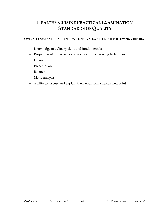# **HEALTHY CUISINE PRACTICAL EXAMINATION STANDARDS OF QUALITY**

#### **OVERALL QUALITY OF EACH DISH WILL BE EVALUATED ON THE FOLLOWING CRITERIA**

- − Knowledge of culinary skills and fundamentals
- − Proper use of ingredients and application of cooking techniques
- − Flavor
- − Presentation
- − Balance
- − Menu analysis
- − Ability to discuss and explain the menu from a health viewpoint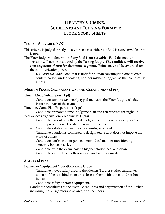# **HEALTHY CUISINE: GUIDELINES AND JUDGING FORM FOR FLOOR SCORE SHEETS**

## **FOOD IS SERVABLE (Y/N)**

This criteria is judged strictly on a yes/no basis, either the food is safe/servable or it is not.

The Floor Judge will determine if any food is **un-servable.** Food deemed unservable will not be evaluated by the Tasting Judge. **The candidate will receive a tasting score of zero for that menu segment.** Points may still be awarded for the communication piece.

− *Un-Servable Food***:** Food that is unfit for human consumption due to crosscontamination, under-cooking, or other mishandling/abuse that could cause illness.

## **MISE EN PLACE, ORGANIZATION, AND CLEANLINESS (5 PTS)**

Timely Menu Submission: **(1 pt)**

− Candidate submits *two* neatly typed menus to the Floor Judge each day before the start of the exam.

Timeline/Game Plan Preparation: **(1 pt)**

− Candidate prepares a timeline/game plan and references it throughout Workspace Organization/Cleanliness: **(3 pts)**

- − Candidate has out only the food, tools, and equipment necessary for the current preparation. The station remains free of clutter.
- − Candidate's station is free of spills, crumbs, scraps, etc.
- − Candidate's station is contained to designated area; it does not impede the work of others.
- − Candidate works in an organized, methodical manner transitioning smoothly between tasks.
- − Candidate exits the exam leaving his/her station neat and clean.
- − Candidate's knife kit/ toolbox is clean and sanitary inside.

## **SAFETY (3 PTS)**

Demeanor/Equipment Operation/Knife Usage

- Candidate moves safely around the kitchen (i.e. alerts other candidates when he/she is behind them or is close to them with knives and/or hot items).
- − Candidate safely operates equipment.

Candidate contributes to the overall cleanliness and organization of the kitchen including the refrigerators, dish area, and the floors.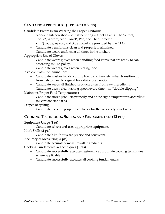## **SANITATION PROCEDURE (1 PT EACH = 5 PTS)**

Candidate Enters Exam Wearing the Proper Uniform:

- − Non-slip kitchen shoes (ie. Kitchen Clogs), Chef's Pants, Chef's Coat, Toque\*, Apron\*, Side Towel\*, Pen, and Thermometer.
	- \*(Toque, Apron, and Side Towel are provided by the CIA)
- − Candidate's uniform is clean and properly maintained.
- − Candidate wears uniform at all times in the kitchen.

Appropriate Use of Gloves:

- − Candidate wears gloves when handling food items that are ready to eat, according to CIA policy.
- − Candidate wears gloves when plating food.

Avoids Cross-Contamination:

- − Candidate washes hands, cutting boards, knives, etc. when transitioning from fish to meat to vegetable or dairy preparation.
- − Candidate keeps all finished products away from raw ingredients.
- − Candidate uses a clean tasting spoon every time no "double-dipping"

Maintains Proper Food Temperatures:

− Candidate stores products properly and at the right temperatures according to ServSafe standards.

Proper Recycling:

Candidate uses the proper receptacles for the various types of waste.

## **COOKING TECHNIQUES, SKILLS, AND FUNDAMENTALS (13 PTS)**

Equipment Usage **(1 pt)** 

− Candidate selects and uses appropriate equipment.

Knife Skills **(2 pts)** 

− Candidate's knife cuts are precise and consistent.

Accuracy of Measuring **(5 pts)**

− Candidate accurately measures all ingredients.

Cooking Fundamentals/Techniques **(5 pts)** 

- − Candidate successfully executes regionally appropriate cooking techniques where applicable.
- − Candidate successfully executes all cooking fundamentals.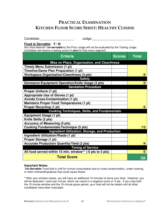# **PRACTICAL EXAMINATION KITCHEN FLOOR SCORE SHEET: HEALTHY CUISINE**

| Candidate: |  |
|------------|--|
|            |  |

Judge:

## **Food is Servable: Y / N**

Any food deemed \***un-servable** by the Floor Judge will not be evaluated by the Tasting Judge. Candidate will receive a tasting score of **zero** for that menu segment.

| <b>Criteria</b>                                           | <b>Scores</b> | <b>Total</b> |
|-----------------------------------------------------------|---------------|--------------|
| Mise en Place, Organization, and Cleanliness              |               |              |
| <b>Timely Menu Submission (1 pt)</b>                      |               |              |
| Timeline/Game Plan Preparation (1 pt)                     |               |              |
| <b>Workspace Organization/Cleanliness (3 pts)</b>         |               | /5           |
| <b>Safety</b>                                             |               |              |
| Demeanor/Equipment Operation/Knife Usage (3 pts)          |               | /3           |
| <b>Sanitation Procedure</b>                               |               |              |
| Proper Uniform (1 pt)                                     |               |              |
| Appropriate Use of Gloves (1 pt)                          |               |              |
| <b>Avoids Cross-Contamination (1 pt)</b>                  |               |              |
| <b>Maintains Proper Food Temperatures (1 pt)</b>          |               |              |
| <b>Proper Recycling (1 pt)</b>                            |               | /5           |
| <b>Cooking Techniques, Skills, and Fundamentals</b>       |               |              |
| <b>Equipment Usage (1 pt)</b>                             |               |              |
| Knife Skills (2 pts)                                      |               |              |
| <b>Accuracy of Measuring (5 pts)</b>                      |               |              |
| <b>Cooking Fundamentals/Technique (5 pts)</b>             |               | /13          |
| <b>Ingredient Utilization, Storage, and Production</b>    |               |              |
| Ingredient Utilization/Waste (1 pt)                       |               |              |
| Proper Storage (1 pt)                                     |               |              |
| <b>Accurate Production Quantity/Yield (2 pts)</b>         |               | /4           |
| <b>Timing of Service</b>                                  |               |              |
| All food served within 15 min. window** (-5 pts to 5 pts) |               | /5           |
| <b>Total Score</b>                                        |               | /35          |

#### **Important Notes:**

**\*Un-Servable:** Food that is unfit for human consumption due to cross-contamination, under-cooking, or other mishandling/abuse that could cause illness

\*\*After your window closes, you will have an additional 10 minutes to serve your food. However, you will be deducted 1 point per minute, which can result in a negative score of -5 pts. If you miss both the 15 minute window and the 10 minute grace period, your food will not be tasted until all other candidates have been evaluated.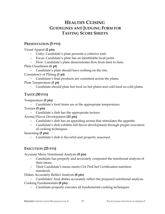# **HEALTHY CUISINE: GUIDELINES AND JUDGING FORM FOR TASTING SCORE SHEETS**

## **PRESENTATION (5 PTS)**

Visual Appeal **(2 pts)**

- − Unity: Candidate's plate presents a cohesive unit.
- − Focus: Candidate's plate has an identifiable focal point.
- − Flow: Candidate's plate demonstrates flow from item to item.

Plate Cleanliness **(1 pt)**

− Candidate's plate should have nothing on the rim.

Consistency of Plating **(1 pt)**

− Candidate's final products are consistent across the plates.

Plate Temperature **(1 pt)**

− Candidate should plate hot food on hot plates and cold food on cold plates.

## **TASTE (30 PTS)**

Temperature **(5 pts)**

Candidate's food items are at the appropriate temperature:

Texture **(5 pts)**

− Candidate's dish has the appropriate texture.

Aroma/Flavor Development **(15 pts)**

- − Candidate's dish has an appealing aroma that stimulates the appetite.
- − Candidate's dish exhibits full flavor development through proper execution of cooking techniques.

Seasoning **(5 pts)**

− Candidate's dish is flavorful and properly seasoned.

## **EXECUTION (25 PTS)**

Accurate Menu Nutritional Analysis **(9 pts)**

- − Candidate has properly and accurately computed the nutritional analysis of their menu.
- − Their Candidate's menu meets CIA ProChef Certification nutrition standards.

Dishes Accurately Reflect Analysis **(8 pts)**

- Candidates' final dishes accurately reflect the prepared nutritional analysis. Cooking Fundamentals **(8 pts)**
	- − Candidate properly executes all fundamental cooking techniques.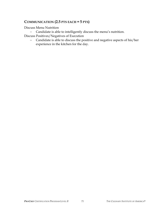### **COMMUNICATION (2.5 PTS EACH = 5 PTS)**

Discuss Menu Nutrition

− Candidate is able to intelligently discuss the menu's nutrition. Discuss Positives/Negatives of Execution

− Candidate is able to discuss the positive and negative aspects of his/her experience in the kitchen for the day.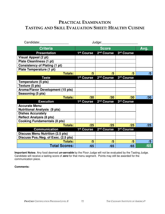# **PRACTICAL EXAMINATION TASTING AND SKILL EVALUATION SHEET: HEALTHY CUISINE**

| Candidate:                              |                        | Judge:                 |            |      |
|-----------------------------------------|------------------------|------------------------|------------|------|
| <b>Criteria</b>                         | <b>Score</b>           |                        |            | Avg. |
| <b>Presentation</b>                     | 1st Course             | 2 <sup>nd</sup> Course | 3rd Course |      |
| Visual Appeal (2 pt)                    |                        |                        |            |      |
| <b>Plate Cleanliness (1 pt)</b>         |                        |                        |            |      |
| <b>Consistency of Plating (1 pt)</b>    |                        |                        |            |      |
| Plate Temperature (1 pt)                |                        |                        |            |      |
| <b>Totals:</b>                          | /5                     | /5                     | /5         | /5   |
| <b>Taste</b>                            | 1st Course             | 2 <sup>nd</sup> Course | 3rd Course |      |
| Temperature (5 pts)                     |                        |                        |            |      |
| Texture (5 pts)                         |                        |                        |            |      |
| Aroma/Flavor Development (15 pts)       |                        |                        |            |      |
| Seasoning (5 pts)                       |                        |                        |            |      |
| <b>Totals:</b>                          | /30                    | /30                    | /30        | /30  |
| <b>Execution</b>                        | 1 <sup>st</sup> Course | 2 <sup>nd</sup> Course | 3rd Course |      |
| <b>Accurate Menu</b>                    |                        |                        |            |      |
| <b>Nutritional Analysis (9 pts)</b>     |                        |                        |            |      |
| <b>Dishes Accurately</b>                |                        |                        |            |      |
| <b>Reflect Analysis (8 pts)</b>         |                        |                        |            |      |
| <b>Cooking Fundamentals (8 pts)</b>     |                        |                        |            |      |
| <b>Totals:</b>                          | /25                    | /25                    | /25        | /25  |
| <b>Communication</b>                    | 1 <sup>st</sup> Course | 2 <sup>nd</sup> Course | 3rd Course |      |
| <b>Discuss Menu Nutrition (2.5 pts)</b> |                        |                        |            |      |
| Discuss Pos./Neg. of Exec. (2.5 pts)    |                        |                        |            |      |
| <b>Totals:</b>                          | /5                     | /5                     | /5         | /5   |
| <b>Total Scores:</b>                    | /65                    | /65                    | /65        | /65  |

**Important Notes:** Any food deemed **un-servable** by the Floor Judge will not be evaluated by the Tasting Judge. Candidate will receive a tasting score of **zero** for that menu segment. Points may still be awarded for the communication piece.

#### **Comments:**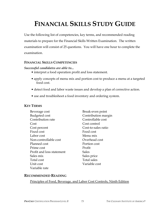# **FINANCIAL SKILLS STUDY GUIDE**

Use the following list of competencies, key terms, and recommended reading materials to prepare for the Financial Skills Written Examination. The written examination will consist of 25 questions. You will have one hour to complete the examination.

#### **FINANCIAL SKILLS COMPETENCIES**

#### *Successful candidates are able to...*

- interpret a food operation profit and loss statement.
- apply concepts of menu mix and portion cost to produce a menu at a targeted food cost.
- detect food and labor waste issues and develop a plan of corrective action.
- use and troubleshoot a food inventory and ordering system.

#### **KEY TERMS**

| Beverage cost             | Break-even point    |
|---------------------------|---------------------|
| <b>Budgeted</b> cost      | Contribution margin |
| Contribution rate         | Controllable cost   |
| Cost                      | Cost control        |
| Cost percent              | Cost-to-sales ratio |
| Fixed cost                | Food cost           |
| Labor cost                | Menu mix            |
| Non-controllable cost     | Overhead cost       |
| Planned cost              | Portion cost        |
| Prime cost                | Profit              |
| Profit and loss statement | <b>Sales</b>        |
| Sales mix                 | Sales price         |
| Total cost                | Total sales         |
| Unit cost                 | Variable cost       |
| Variable rate             |                     |

#### **RECOMMENDED READING**

Principles of Food, Beverage, and Labor Cost Controls, Ninth Edition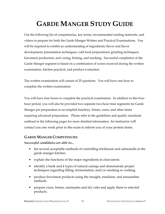# **GARDE MANGER STUDY GUIDE**

Use the following list of competencies, key terms, recommended reading materials, and videos to prepare for both the Garde Manger Written and Practical Examinations. You will be required to exhibit an understanding of ingredients; flavor and flavor development; presentation techniques; cold food preparations; grinding techniques; forcemeat production; and curing, brining, and smoking. Successful completion of the Garde Manger segment is based on a combination of scores received during the written examination, kitchen practical, and product evaluation.

The written examination will consist of 25 questions. You will have one hour to complete the written examination.

You will have four hours to complete the practical examination. In addition to this fourhour period, you will also be provided two separate two-hour time segments for Garde Manger pre-preparation to accomplish butchery, brines, cures, and other items requiring advanced preparation. Please refer to the guidelines and quality standards outlined in the following pages for more detailed information. An instructor will contact you one week prior to the exam to inform you of your protein items.

### **GARDE MANGER COMPETENCIES**

*Successful candidates are able to***...** 

- list several acceptable methods of controlling trichinosis and salmonella in the garde manger kitchen.
- explain the functions of the major ingredients in charcuterie.
- identify a hank and 4 types of natural casings and demonstrate proper techniques regarding filling, fermentation, and/or smoking or cooking.
- produce forcemeat products using the straight, emulsion, and mousseline methods.
- prepare cures, brines, marinades and dry rubs and apply them to selected products.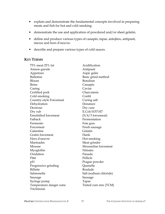- explain and demonstrate the fundamental concepts involved in preparing meats and fish for hot and cold smoking.
- demonstrate the use and application of powdered and/or sheet gelatin.
- define and produce various types of canapés, tapas, antojitos, antipasti, mezze and hors d'oeuvre.
- describe and prepare various types of cold sauces.

#### **KEY TERMS**

| 75% meat 25% fat            | Acidification          |
|-----------------------------|------------------------|
| Amuse gueule                | Antipasti              |
| Appetizer                   | Aspic gelée            |
| <b>Ballotine</b>            | Basic grind method     |
| Bloom                       | <b>Botulism</b>        |
| <b>Brine</b>                | Canapés                |
| Casing                      | Caviar                 |
| Certified pork              | Charcuterie            |
| Cold smoking                | Confit                 |
| Country-style Forcemeat     | Curing salt            |
| Dehydration                 | Denature               |
| Dextrose                    | Dry cure               |
| Dry rub                     | E.Coli 0157:H7         |
| <b>Emulsified forcemeat</b> | $(5/4/3$ forcemeat)    |
| Fatback                     | Fermentation           |
| Fermento                    | Foie gras              |
| Forcemeat                   | Fresh sausage          |
| Galantine                   | Gelatin                |
| Gratin forcemeat            | Hank                   |
| Hors d'oeuvre               | Hot smoking            |
| Marinades                   | Meat grinder           |
| Mousse                      | Mousseline forcemeat   |
| Myoglobin                   | <b>Nitrates</b>        |
| Oxidation                   | Panada                 |
| Pâté                        | Pellicle               |
| pH                          | Prague powder          |
| Progressive grinding        | Quenelle               |
| Rillette                    | Roulade                |
| Salmonella                  | Salt (sodium chloride) |
| Sausage                     | Sausage                |
| Syringe pump                | Tapas                  |
| Temperature danger zone     | Tinted cure mix (TCM)  |
| Trichinosis                 |                        |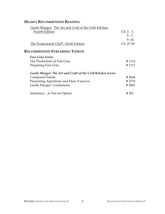# **HIGHLY RECOMMENDED READING**

| Garde Manger: The Art and Craft of the Cold Kitchen,       |              |
|------------------------------------------------------------|--------------|
| Fourth Edition                                             | $Ch. 2 - 3,$ |
|                                                            | $5 - 7$ ,    |
|                                                            | $9 - 10$     |
| The Professional Chef <sup>®</sup> , Ninth Edition         | Ch. 27-30    |
| <b>RECOMMENDED STREAMING VIDEOS</b>                        |              |
| <b>Foie Gras Series</b>                                    |              |
| The Production of Foie Gras                                | #1116        |
| Preparing Foie Gras                                        | # 1117       |
| Garde Manger: The Art and Craft of the Cold Kitchen Series |              |
| <b>Composed Salads</b>                                     | # 2664       |
| Presenting Appetizers and Hors d'oeuvre                    | #2753        |
| Garde Manger: Condiments                                   | # 2841       |
| SanitationIs Not an Option                                 | # 201        |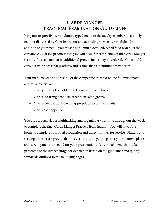# **GARDE MANGER PRACTICAL EXAMINATION GUIDELINES**

It is your responsibility to submit a typed menu to the faculty member (in a timely manner discussed by Chef-Instructor and according to weekly schedule). In addition to your menu, you must also submit a detailed, typed food order list that contains **ALL** of the products that you will need for completion of the Garde Manger section. Please note that no additional protein items may be ordered. You should consider using seasonal products and realize that substitutions may occur.

Your menu needs to address all of the competencies listed on the following page and must consist of:

- − One type of hot or cold hors d'oeuvre of your choice
- − One salad using products other then salad greens
- − One forcemeat terrine with appropriate accompaniments
- − One plated appetizer

You are responsible for multitasking and organizing your time throughout the week to complete the final Garde Manger Practical Examination. You will have four hours to complete your final production and thirty minutes for service. Platters and serving utensils are provided; however, it is up to you to gather your platters, plates, and serving utensils needed for your presentations. Your final menu should be presented to the kitchen judge for evaluation based on the guidelines and quality standards outlined in the following pages.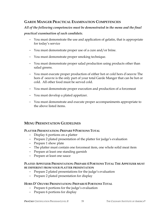### **GARDE MANGER PRACTICAL EXAMINATION COMPETENCIES**

# *All of the following competencies must be demonstrated in the menu and the final practical examination of each candidate.*

- − You must demonstrate the use and application of gelatin, that is appropriate for today's service
- − You must demonstrate proper use of a cure and/or brine.
- − You must demonstrate proper smoking technique.
- − You must demonstrate proper salad production using products other than salad greens.
- − You must execute proper production of either hot or cold hors d'oeuvre The hors d' oeuvre is the only part of your total Garde Manger that can be hot or cold. All other food must be served cold.
- − You must demonstrate proper execution and production of a forcemeat
- − You must develop a plated appetizer.
- − You must demonstrate and execute proper accompaniments appropriate to the above listed items.

### **MENU PRESENTATION GUIDELINES**

#### **PLATTER PRESENTATION: PREPARE 9 PORTIONS TOTAL**

- − Display 6 portions on a platter
- − Prepare 2 plated presentation of the platter for judge's evaluation
- − Prepare 1 show plate
- − The platter must contain one forcemeat item, one whole solid meat item
- − Prepare at least one standing garnish
- − Prepare at least one sauce

#### **PLATED APPETIZER PRESENTATION: PREPARE 4 PORTIONS TOTAL THE APPETIZER MUST BE DIFFERENT FROM YOUR PLATTER PRESENTATION**

- − Prepare 2 plated presentations for the judge's evaluation
- − Prepare 2 plated presentation for display

#### **HORS D' OEUVRE PRESENTATION: PREPARE 6 PORTIONS TOTAL**

- − Prepare 6 portions for the judge's evaluation
- − Prepare 6 portions for display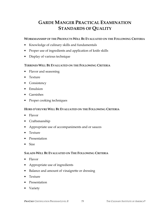# **GARDE MANGER PRACTICAL EXAMINATION STANDARDS OF QUALITY**

#### **WORKMANSHIP OF THE PRODUCTS WILL BE EVALUATED ON THE FOLLOWING CRITERIA**

- Knowledge of culinary skills and fundamentals
- Proper use of ingredients and application of knife skills
- Display of various technique

#### **TERRINES WILL BE EVALUATED ON THE FOLLOWING CRITERIA**

- Flavor and seasoning
- Texture
- Consistency
- Emulsion
- Garnishes
- Proper cooking techniques

#### **HORS D'OEUVRE WILL BE EVALUATED ON THE FOLLOWING CRITERIA**

- Flavor
- Craftsmanship
- Appropriate use of accompaniments and or sauces
- Texture
- Presentation
- Size

#### **SALADS WILL BE EVALUATED ON THE FOLLOWING CRITERIA**

- Flavor
- Appropriate use of ingredients
- Balance and amount of vinaigrette or dressing
- Texture
- Presentation
- Variety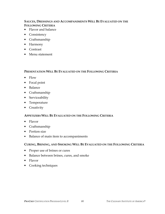#### **SAUCES, DRESSINGS AND ACCOMPANIMENTS WILL BE EVALUATED ON THE FOLLOWING CRITERIA**

- Flavor and balance
- Consistency
- Craftsmanship
- Harmony
- Contrast
- Menu statement

#### **PRESENTATION WILL BE EVALUATED ON THE FOLLOWING CRITERIA**

- Flow
- Focal point
- Balance
- Craftsmanship
- Serviceability
- Temperature
- Creativity

#### **APPETIZERS WILL BE EVALUATED ON THE FOLLOWING CRITERIA**

- Flavor
- Craftsmanship
- Portion size
- Balance of main item to accompaniments

#### **CURING, BRINING, AND SMOKING WILL BE EVALUATED ON THE FOLLOWING CRITERIA**

- Proper use of brines or cures
- Balance between brines, cures, and smoke
- Flavor
- Cooking techniques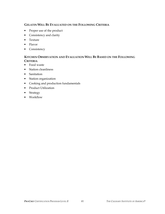#### **GELATIN WILL BE EVALUATED ON THE FOLLOWING CRITERIA**

- Proper use of the product
- Consistency and clarity
- Texture
- Flavor
- Consistency

#### **KITCHEN OBSERVATION AND EVALUATION WILL BE BASED ON THE FOLLOWING CRITERIA**

- Food waste
- Station cleanliness
- Sanitation
- Station organization
- Cooking and production fundamentals
- Product Utilization
- Strategy
- Workflow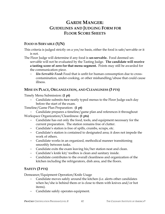# **GARDE MANGER: GUIDELINES AND JUDGING FORM FOR FLOOR SCORE SHEETS**

### **FOOD IS SERVABLE (Y/N)**

This criteria is judged strictly on a yes/no basis, either the food is safe/servable or it is not.

The Floor Judge will determine if any food is **un-servable.** Food deemed unservable will not be evaluated by the Tasting Judge. **The candidate will receive a tasting score of zero for that menu segment.** Points may still be awarded for the communication piece.

− *Un-Servable Food***:** Food that is unfit for human consumption due to crosscontamination, under-cooking, or other mishandling/abuse that could cause illness.

### **MISE EN PLACE, ORGANIZATION, AND CLEANLINESS (3 PTS)**

Timely Menu Submission: **(1 pt)**

− Candidate submits *two* neatly typed menus to the Floor Judge each day before the start of the exam.

Timeline/Game Plan Preparation: **(1 pt)**

− Candidate prepares a timeline/game plan and references it throughout Workspace Organization/Cleanliness: **(1 pts)**

- − Candidate has out only the food, tools, and equipment necessary for the current preparation. The station remains free of clutter.
- − Candidate's station is free of spills, crumbs, scraps, etc.
- − Candidate's station is contained to designated area; it does not impede the work of others.
- − Candidate works in an organized, methodical manner transitioning smoothly between tasks.
- − Candidate exits the exam leaving his/her station neat and clean.
- − Candidate's knife kit/ toolbox is clean and sanitary inside.
- − Candidate contributes to the overall cleanliness and organization of the kitchen including the refrigerators, dish area, and the floors.

# **SAFETY (3 PTS)**

Demeanor/Equipment Operation/Knife Usage

- Candidate moves safely around the kitchen (i.e. alerts other candidates when he/she is behind them or is close to them with knives and/or hot items).
- − Candidate safely operates equipment.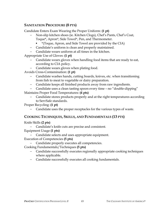### **SANITATION PROCEDURE (8 PTS)**

Candidate Enters Exam Wearing the Proper Uniform: **(1 pt)**

- − Non-slip kitchen shoes (ie. Kitchen Clogs), Chef's Pants, Chef's Coat, Toque\*, Apron\*, Side Towel\*, Pen, and Thermometer.
	- \*(Toque, Apron, and Side Towel are provided by the CIA)
- − Candidate's uniform is clean and properly maintained.
- − Candidate wears uniform at all times in the kitchen.

Appropriate Use of Gloves: **(1 pt)**

- − Candidate wears gloves when handling food items that are ready to eat, according to CIA policy.
- − Candidate wears gloves when plating food.

Avoids Cross-Contamination: **(1 pt)**

- − Candidate washes hands, cutting boards, knives, etc. when transitioning from fish to meat to vegetable or dairy preparation.
- − Candidate keeps all finished products away from raw ingredients.

− Candidate uses a clean tasting spoon every time – no "double-dipping"

Maintains Proper Food Temperatures: **(4 pts)**

− Candidate stores products properly and at the right temperatures according to ServSafe standards.

Proper Recycling: **(1 pt)**

Candidate uses the proper receptacles for the various types of waste.

### **COOKING TECHNIQUES, SKILLS, AND FUNDAMENTALS (13 PTS)**

Knife Skills **(2 pts)** 

− Candidate's knife cuts are precise and consistent.

Equipment Usage **(1 pts)** 

- − Candidate selects and uses appropriate equipment.
- Execution of Competencies **(5 pts)** 
	- Candidate properly executes all competencies.

Cooking Fundamentals/Techniques **(5 pts)** 

- − Candidate successfully executes regionally appropriate cooking techniques where applicable.
- − Candidate successfully executes all cooking fundamentals.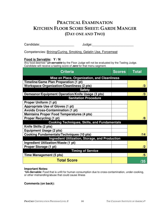# **PRACTICAL EXAMINATION KITCHEN FLOOR SCORE SHEET: GARDE MANGER (DAY ONE AND TWO)**

Candidate: example and the set of the set of the set of the set of the set of the set of the set of the set of the set of the set of the set of the set of the set of the set of the set of the set of the set of the set of t

Competencies: Brining/Curing, Smoking, Gelatin Use, Forcemeat

#### **Food is Servable: Y / N**

Any food deemed \***un-servable** by the Floor Judge will not be evaluated by the Tasting Judge. Candidate will receive a tasting score of **zero** for that menu segment.

| <b>Criteria</b>                                        | <b>Scores</b> | Total      |  |
|--------------------------------------------------------|---------------|------------|--|
| Mise en Place, Organization, and Cleanliness           |               |            |  |
| Timeline/Game Plan Preparation (1 pt)                  |               |            |  |
| <b>Workspace Organization/Cleanliness (2 pts)</b>      |               | /3         |  |
| <b>Safety</b>                                          |               |            |  |
| Demeanor/Equipment Operation/Knife Usage (3 pts)       |               | /3         |  |
| <b>Sanitation Procedure</b>                            |               |            |  |
| Proper Uniform (1 pt)                                  |               |            |  |
| Appropriate Use of Gloves (1 pt)                       |               |            |  |
| <b>Avoids Cross-Contamination (1 pt)</b>               |               |            |  |
| <b>Maintains Proper Food Temperatures (4 pts)</b>      |               |            |  |
| <b>Proper Recycling (1 pt)</b>                         |               | /8         |  |
| <b>Cooking Techniques, Skills, and Fundamentals</b>    |               |            |  |
| Knife Skills (2 pts)                                   |               |            |  |
| <b>Equipment Usage (2 pts)</b>                         |               |            |  |
| <b>Cooking Fundamentals/Techniques (10 pts)</b>        |               | /14        |  |
| <b>Ingredient Utilization, Storage, and Production</b> |               |            |  |
| Ingredient Utilization/Waste (1 pt)                    |               |            |  |
| Proper Storage (1 pt)                                  |               | $\sqrt{2}$ |  |
| <b>Timing of Service</b>                               |               |            |  |
| <b>Time Management (5 pts)</b>                         |               | /5         |  |
| <b>Total Score</b>                                     |               | /35        |  |

#### **Important Notes:**

**\*Un-Servable:** Food that is unfit for human consumption due to cross-contamination, under-cooking, or other mishandling/abuse that could cause illness

#### **Comments (on back):**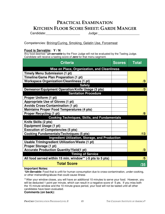# **PRACTICAL EXAMINATION KITCHEN FLOOR SCORE SHEET: GARDE MANGER**

Candidate:\_\_\_\_\_\_\_\_\_\_\_\_\_\_\_\_\_\_\_ Judge:\_\_\_\_\_\_\_\_\_\_\_\_\_\_\_\_\_\_\_\_\_\_\_

Competencies: Brining/Curing, Smoking, Gelatin Use, Forcemeat

#### **Food is Servable: Y / N**

Any food deemed \***un-servable** by the Floor Judge will not be evaluated by the Tasting Judge. Candidate will receive a tasting score of **zero** for that menu segment.

| <b>Criteria</b>                                           | <b>Scores</b> | <b>Total</b> |
|-----------------------------------------------------------|---------------|--------------|
| <b>Mise en Place, Organization, and Cleanliness</b>       |               |              |
| <b>Timely Menu Submission (1 pt)</b>                      |               |              |
| Timeline/Game Plan Preparation (1 pt)                     |               |              |
| <b>Workspace Organization/Cleanliness (1 pt)</b>          |               | /3           |
| <b>Safety</b>                                             |               |              |
| Demeanor/Equipment Operation/Knife Usage (3 pts)          |               | /3           |
| <b>Sanitation Procedure</b>                               |               |              |
| Proper Uniform (1 pt)                                     |               |              |
| <b>Appropriate Use of Gloves (1 pt)</b>                   |               |              |
| <b>Avoids Cross-Contamination (1 pt)</b>                  |               |              |
| <b>Maintains Proper Food Temperatures (4 pts)</b>         |               |              |
| <b>Proper Recycling (1 pt)</b>                            |               | /8           |
| <b>Cooking Techniques, Skills, and Fundamentals</b>       |               |              |
| Knife Skills (2 pts)                                      |               |              |
| <b>Equipment Usage (1 pt)</b>                             |               |              |
| <b>Execution of Competencies (5 pts)</b>                  |               |              |
| <b>Cooking Fundamentals/Techniques (5 pts)</b>            |               | /13          |
| <b>Ingredient Utilization, Storage, and Production</b>    |               |              |
| Usable TrimIngredient Utilization/Waste (1 pt)            |               |              |
| Proper Storage (1 pt)                                     |               |              |
| <b>Accurate Production Quantity/Yield(1 pt)</b>           |               | /3           |
| <b>Timing of Service</b>                                  |               |              |
| All food served within 15 min. window** (-5 pts to 5 pts) |               | /5           |
| <b>Total Score</b>                                        |               | /35          |

#### **Important Notes:**

**\*Un-Servable:** Food that is unfit for human consumption due to cross-contamination, under-cooking, or other mishandling/abuse that could cause illness

\*\*After your window closes, you will have an additional 10 minutes to serve your food. However, you will be deducted 1 point per minute, which can result in a negative score of -5 pts. If you miss both the 15 minute window and the 10 minute grace period, your food will not be tasted until all other candidates have been evaluated.

#### **Comments (on back):**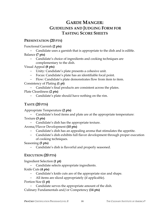# **GARDE MANGER: GUIDELINES AND JUDGING FORM FOR TASTING SCORE SHEETS**

### **PRESENTATION (20 PTS)**

Functional Garnish **(2 pts)**

- − Candidate uses a garnish that is appropriate to the dish and is edible. Balance **(7 pts)**
	- − Candidate's choice of ingredients and cooking techniques are complementary to the dish.

Visual Appeal **(8 pts)**

- − Unity: Candidate's plate presents a cohesive unit.
- − Focus: Candidate's plate has an identifiable focal point.
- − Flow: Candidate's plate demonstrates flow from item to item.

Consistency of Plating **(1 pt)**

− Candidate's final products are consistent across the plates.

Plate Cleanliness **(2 pts)**

− Candidate's plate should have nothing on the rim.

# **TASTE (20 PTS)**

Appropriate Temperature **(2 pts)**

- − Candidate's food items and plate are at the appropriate temperature: Texture **(3 pts)**
	- − Candidate's dish has the appropriate texture.

Aroma/Flavor Development **(10 pts)**

- − Candidate's dish has an appealing aroma that stimulates the appetite.
- − Candidate's dish exhibits full flavor development through proper execution of cooking techniques.

Seasoning **(5 pts)**

− Candidate's dish is flavorful and properly seasoned.

# **EXECUTION (20 PTS)**

Ingredient Selection **(1 pt)**

− Candidate selects appropriate ingredients.

Knife Cuts **(4 pts)**

- − Candidate's knife cuts are of the appropriate size and shape.
- − All items are sliced appropriately (if applicable).

Portion Size **(1 pt)**

− Candidate serves the appropriate amount of the dish.

Culinary Fundamentals and/or Competency **(14 pts)**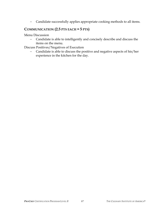− Candidate successfully applies appropriate cooking methods to all items.

### **COMMUNICATION (2.5 PTS EACH = 5 PTS)**

Menu Discussion

− Candidate is able to intelligently and concisely describe and discuss the items on the menu.

Discuss Positives/Negatives of Execution

− Candidate is able to discuss the positive and negative aspects of his/her experience in the kitchen for the day.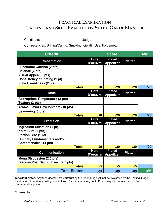# **PRACTICAL EXAMINATION TASTING AND SKILL EVALUATION SHEET: GARDE MANGER**

Candidate:\_\_\_\_\_\_\_\_\_\_\_\_\_\_\_\_ Judge:\_\_\_\_\_\_\_\_\_\_\_\_\_\_\_\_\_\_\_\_

Competencies: Brining/Curing, Smoking, Gelatin Use, Forcemeat

| <b>Criteria</b>                        | <b>Score</b>            |                                   |                | Avg. |
|----------------------------------------|-------------------------|-----------------------------------|----------------|------|
| <b>Presentation</b>                    | <b>Hors</b><br>D'oeuvre | <b>Plated</b><br><b>Appetizer</b> | <b>Platter</b> |      |
| <b>Functional Garnish (2 pts)</b>      |                         |                                   |                |      |
| Balance (7 pts)                        |                         |                                   |                |      |
| <b>Visual Appeal (8 pts)</b>           |                         |                                   |                |      |
| <b>Consistency of Plating (1 pt)</b>   |                         |                                   |                |      |
| <b>Plate Cleanliness (2 pts)</b>       |                         |                                   |                |      |
| <b>Totals:</b>                         | /20                     | /20                               | /20            | /20  |
| <b>Taste</b>                           | <b>Hors</b><br>D'oeuvre | <b>Plated</b><br><b>Appetizer</b> | <b>Platter</b> |      |
| <b>Appropriate Temperature (2 pts)</b> |                         |                                   |                |      |
| Texture (3 pts)                        |                         |                                   |                |      |
| Aroma/Flavor Development (10 pts)      |                         |                                   |                |      |
| Seasoning (5 pts)                      |                         |                                   |                |      |
| <b>Totals:</b>                         | /20                     | /20                               | /20            | /20  |
| <b>Execution</b>                       | <b>Hors</b><br>D'oeuvre | <b>Plated</b><br><b>Appetizer</b> | <b>Platter</b> |      |
| <b>Ingredient Selection (1 pt)</b>     |                         |                                   |                |      |
| Knife Cuts (4 pts)                     |                         |                                   |                |      |
| Portion Size (1 pt)                    |                         |                                   |                |      |
| <b>Culinary Fundamentals and/or</b>    |                         |                                   |                |      |
| <b>Competencies (14 pts)</b>           |                         |                                   |                |      |
| <b>Totals:</b>                         | /20                     | /20                               | /20            | /20  |
| <b>Communication</b>                   | <b>Hors</b><br>D'oeuvre | <b>Plated</b><br><b>Appetizer</b> | <b>Platter</b> |      |
| <b>Menu Discussion (2.5 pts)</b>       |                         |                                   |                |      |
| Discuss Pos./Neg. of Exec. (2.5 pts)   |                         |                                   |                |      |
| <b>Totals:</b>                         | /5                      | /5                                | /5             | /5   |
| <b>Total Scores:</b>                   | /65                     | /65                               | /65            | /65  |

**Important Notes:** Any food deemed **un-servable** by the Floor Judge will not be evaluated by the Tasting Judge. Candidate will receive a tasting score of **zero** for that menu segment. Points may still be awarded for the communication piece.

#### **Comments:**